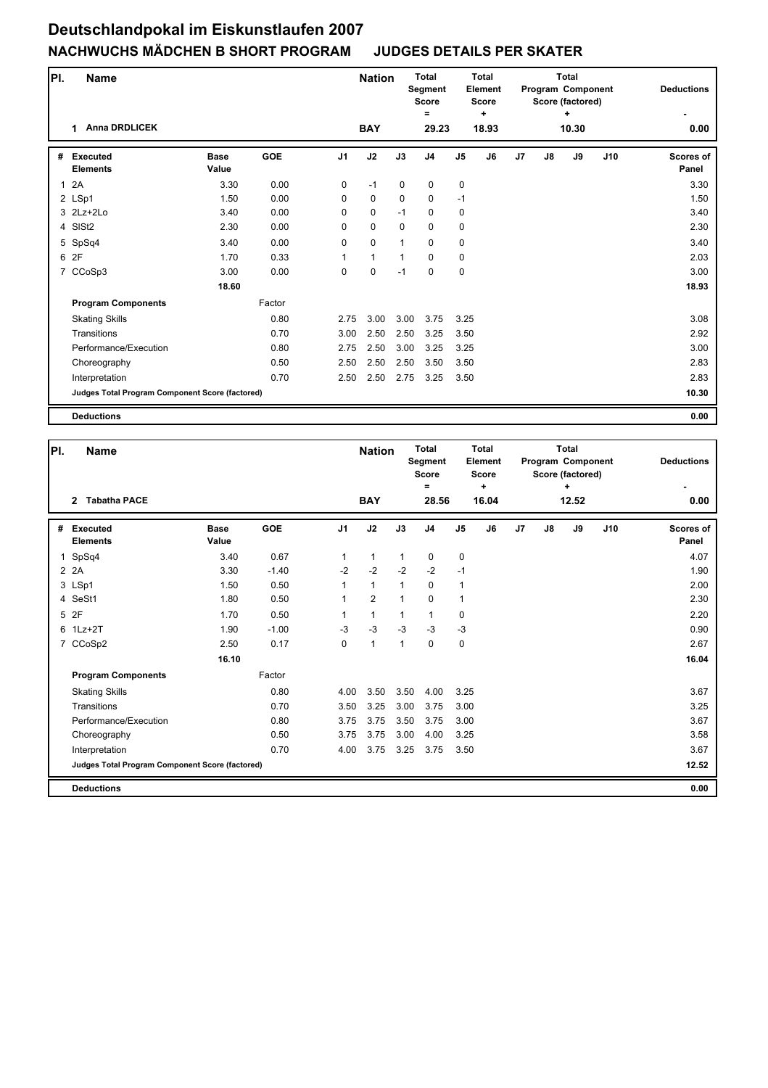| PI.          | Name                                            |                      |            |                | <b>Nation</b> |             | <b>Total</b><br>Segment<br><b>Score</b> |                | <b>Total</b><br>Element<br><b>Score</b> |                |    | <b>Total</b><br><b>Program Component</b><br>Score (factored) |     | <b>Deductions</b>  |
|--------------|-------------------------------------------------|----------------------|------------|----------------|---------------|-------------|-----------------------------------------|----------------|-----------------------------------------|----------------|----|--------------------------------------------------------------|-----|--------------------|
|              | <b>Anna DRDLICEK</b><br>1                       |                      |            |                | <b>BAY</b>    |             | =<br>29.23                              |                | ÷<br>18.93                              |                |    | ٠<br>10.30                                                   |     | 0.00               |
| #            | <b>Executed</b><br><b>Elements</b>              | <b>Base</b><br>Value | <b>GOE</b> | J <sub>1</sub> | J2            | J3          | J <sub>4</sub>                          | J <sub>5</sub> | J6                                      | J <sub>7</sub> | J8 | J9                                                           | J10 | Scores of<br>Panel |
| $\mathbf{1}$ | 2A                                              | 3.30                 | 0.00       | 0              | $-1$          | $\mathbf 0$ | $\mathbf 0$                             | $\mathbf 0$    |                                         |                |    |                                                              |     | 3.30               |
|              | 2 LSp1                                          | 1.50                 | 0.00       | 0              | $\mathbf 0$   | $\mathbf 0$ | 0                                       | $-1$           |                                         |                |    |                                                              |     | 1.50               |
|              | 3 2Lz+2Lo                                       | 3.40                 | 0.00       | 0              | $\mathbf 0$   | $-1$        | $\mathbf 0$                             | $\mathbf 0$    |                                         |                |    |                                                              |     | 3.40               |
|              | 4 SISt2                                         | 2.30                 | 0.00       | 0              | $\mathbf 0$   | $\mathbf 0$ | 0                                       | $\mathbf 0$    |                                         |                |    |                                                              |     | 2.30               |
|              | 5 SpSq4                                         | 3.40                 | 0.00       | 0              | $\mathbf 0$   | 1           | $\mathbf 0$                             | 0              |                                         |                |    |                                                              |     | 3.40               |
| 6            | 2F                                              | 1.70                 | 0.33       | 1              | $\mathbf{1}$  | 1           | $\mathbf 0$                             | 0              |                                         |                |    |                                                              |     | 2.03               |
|              | 7 CCoSp3                                        | 3.00                 | 0.00       | 0              | 0             | $-1$        | 0                                       | 0              |                                         |                |    |                                                              |     | 3.00               |
|              |                                                 | 18.60                |            |                |               |             |                                         |                |                                         |                |    |                                                              |     | 18.93              |
|              | <b>Program Components</b>                       |                      | Factor     |                |               |             |                                         |                |                                         |                |    |                                                              |     |                    |
|              | <b>Skating Skills</b>                           |                      | 0.80       | 2.75           | 3.00          | 3.00        | 3.75                                    | 3.25           |                                         |                |    |                                                              |     | 3.08               |
|              | Transitions                                     |                      | 0.70       | 3.00           | 2.50          | 2.50        | 3.25                                    | 3.50           |                                         |                |    |                                                              |     | 2.92               |
|              | Performance/Execution                           |                      | 0.80       | 2.75           | 2.50          | 3.00        | 3.25                                    | 3.25           |                                         |                |    |                                                              |     | 3.00               |
|              | Choreography                                    |                      | 0.50       | 2.50           | 2.50          | 2.50        | 3.50                                    | 3.50           |                                         |                |    |                                                              |     | 2.83               |
|              | Interpretation                                  |                      | 0.70       | 2.50           | 2.50          | 2.75        | 3.25                                    | 3.50           |                                         |                |    |                                                              |     | 2.83               |
|              | Judges Total Program Component Score (factored) |                      |            |                |               |             |                                         |                |                                         |                |    |                                                              |     | 10.30              |
|              | <b>Deductions</b>                               |                      |            |                |               |             |                                         |                |                                         |                |    |                                                              |     | 0.00               |

| PI.          | <b>Name</b>                                            |                      |            |                | <b>Nation</b>  |              | <b>Total</b><br>Segment<br><b>Score</b><br>Ξ |                | Total<br>Element<br><b>Score</b><br>÷ |                |    | Total<br>Program Component<br>Score (factored)<br>÷ |     | <b>Deductions</b>         |
|--------------|--------------------------------------------------------|----------------------|------------|----------------|----------------|--------------|----------------------------------------------|----------------|---------------------------------------|----------------|----|-----------------------------------------------------|-----|---------------------------|
|              | <b>Tabatha PACE</b><br>$\overline{2}$                  |                      |            |                | <b>BAY</b>     |              | 28.56                                        |                | 16.04                                 |                |    | 12.52                                               |     | 0.00                      |
| #            | <b>Executed</b><br><b>Elements</b>                     | <b>Base</b><br>Value | <b>GOE</b> | J <sub>1</sub> | J2             | J3           | J <sub>4</sub>                               | J <sub>5</sub> | J6                                    | J <sub>7</sub> | J8 | J9                                                  | J10 | <b>Scores of</b><br>Panel |
| $\mathbf{1}$ | SpSq4                                                  | 3.40                 | 0.67       | $\mathbf{1}$   | 1              | $\mathbf{1}$ | 0                                            | 0              |                                       |                |    |                                                     |     | 4.07                      |
|              | 2 2 A                                                  | 3.30                 | $-1.40$    | $-2$           | $-2$           | $-2$         | $-2$                                         | $-1$           |                                       |                |    |                                                     |     | 1.90                      |
|              | 3 LSp1                                                 | 1.50                 | 0.50       | 1              | $\mathbf{1}$   | $\mathbf{1}$ | 0                                            | $\mathbf{1}$   |                                       |                |    |                                                     |     | 2.00                      |
|              | 4 SeSt1                                                | 1.80                 | 0.50       | 1              | $\overline{2}$ | $\mathbf{1}$ | 0                                            | $\mathbf{1}$   |                                       |                |    |                                                     |     | 2.30                      |
|              | 5 2F                                                   | 1.70                 | 0.50       | 1              | $\mathbf{1}$   | $\mathbf{1}$ | 1                                            | $\mathbf 0$    |                                       |                |    |                                                     |     | 2.20                      |
|              | 6 1Lz+2T                                               | 1.90                 | $-1.00$    | $-3$           | $-3$           | $-3$         | $-3$                                         | $-3$           |                                       |                |    |                                                     |     | 0.90                      |
|              | 7 CCoSp2                                               | 2.50                 | 0.17       | $\Omega$       | 1              | 1            | $\Omega$                                     | $\mathbf 0$    |                                       |                |    |                                                     |     | 2.67                      |
|              |                                                        | 16.10                |            |                |                |              |                                              |                |                                       |                |    |                                                     |     | 16.04                     |
|              | <b>Program Components</b>                              |                      | Factor     |                |                |              |                                              |                |                                       |                |    |                                                     |     |                           |
|              | <b>Skating Skills</b>                                  |                      | 0.80       | 4.00           | 3.50           | 3.50         | 4.00                                         | 3.25           |                                       |                |    |                                                     |     | 3.67                      |
|              | Transitions                                            |                      | 0.70       | 3.50           | 3.25           | 3.00         | 3.75                                         | 3.00           |                                       |                |    |                                                     |     | 3.25                      |
|              | Performance/Execution                                  |                      | 0.80       | 3.75           | 3.75           | 3.50         | 3.75                                         | 3.00           |                                       |                |    |                                                     |     | 3.67                      |
|              | Choreography                                           |                      | 0.50       | 3.75           | 3.75           | 3.00         | 4.00                                         | 3.25           |                                       |                |    |                                                     |     | 3.58                      |
|              | Interpretation                                         |                      | 0.70       | 4.00           | 3.75           | 3.25         | 3.75                                         | 3.50           |                                       |                |    |                                                     |     | 3.67                      |
|              | <b>Judges Total Program Component Score (factored)</b> |                      |            |                |                |              |                                              |                |                                       |                |    |                                                     |     | 12.52                     |
|              | <b>Deductions</b>                                      |                      |            |                |                |              |                                              |                |                                       |                |    |                                                     |     | 0.00                      |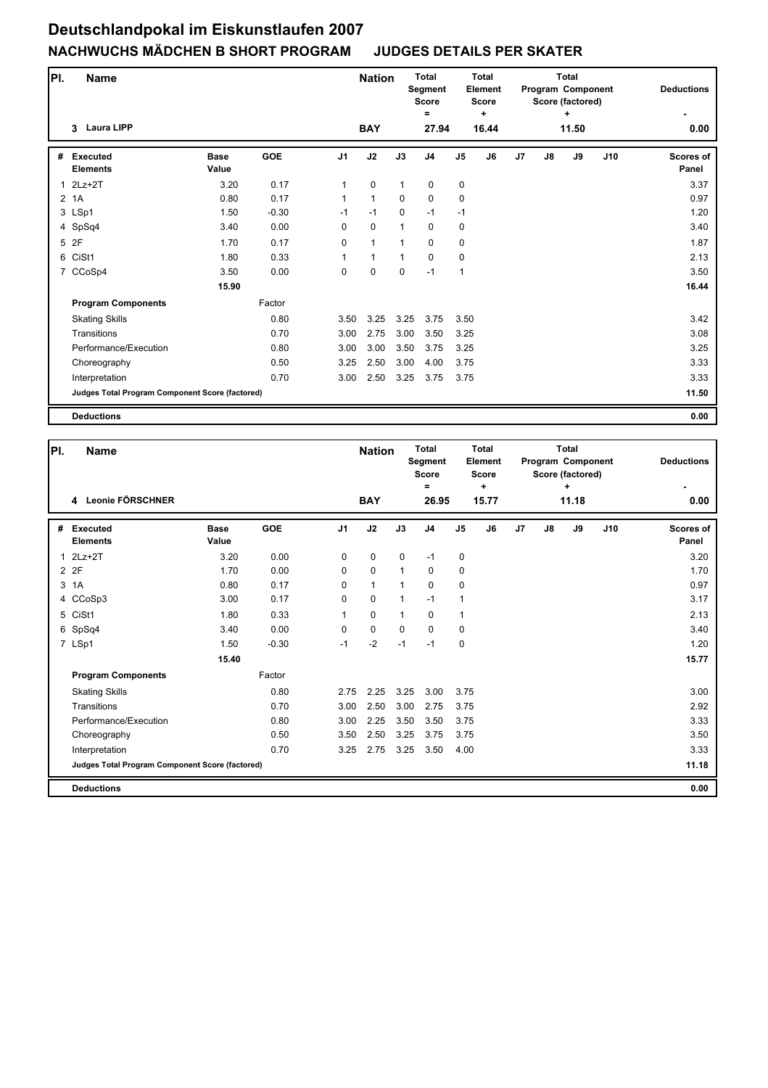| PI.          | <b>Name</b>                                     |                      |            |                | <b>Nation</b> |              | <b>Total</b><br>Segment<br><b>Score</b><br>$\equiv$ |                | <b>Total</b><br>Element<br><b>Score</b><br>٠. |    |    | <b>Total</b><br>Program Component<br>Score (factored)<br>÷ |     | <b>Deductions</b>  |
|--------------|-------------------------------------------------|----------------------|------------|----------------|---------------|--------------|-----------------------------------------------------|----------------|-----------------------------------------------|----|----|------------------------------------------------------------|-----|--------------------|
|              | <b>Laura LIPP</b><br>3                          |                      |            |                | <b>BAY</b>    |              | 27.94                                               |                | 16.44                                         |    |    | 11.50                                                      |     | 0.00               |
| #            | <b>Executed</b><br><b>Elements</b>              | <b>Base</b><br>Value | <b>GOE</b> | J <sub>1</sub> | J2            | J3           | J <sub>4</sub>                                      | J <sub>5</sub> | J6                                            | J7 | J8 | J9                                                         | J10 | Scores of<br>Panel |
| $\mathbf{1}$ | $2Lz+2T$                                        | 3.20                 | 0.17       | 1              | $\mathbf 0$   | $\mathbf{1}$ | $\mathbf 0$                                         | $\mathbf 0$    |                                               |    |    |                                                            |     | 3.37               |
|              | 2 <sub>1</sub> A                                | 0.80                 | 0.17       | 1              | $\mathbf{1}$  | $\mathbf 0$  | $\mathbf 0$                                         | $\mathbf 0$    |                                               |    |    |                                                            |     | 0.97               |
|              | 3 LSp1                                          | 1.50                 | $-0.30$    | $-1$           | $-1$          | $\mathbf 0$  | $-1$                                                | $-1$           |                                               |    |    |                                                            |     | 1.20               |
|              | 4 SpSq4                                         | 3.40                 | 0.00       | 0              | 0             | $\mathbf{1}$ | 0                                                   | 0              |                                               |    |    |                                                            |     | 3.40               |
|              | 5 2F                                            | 1.70                 | 0.17       | 0              | $\mathbf{1}$  | 1            | $\Omega$                                            | 0              |                                               |    |    |                                                            |     | 1.87               |
|              | 6 CiSt1                                         | 1.80                 | 0.33       | 1              | 1             | 1            | $\Omega$                                            | 0              |                                               |    |    |                                                            |     | 2.13               |
|              | 7 CCoSp4                                        | 3.50                 | 0.00       | 0              | $\mathbf 0$   | $\mathbf 0$  | $-1$                                                | $\mathbf{1}$   |                                               |    |    |                                                            |     | 3.50               |
|              |                                                 | 15.90                |            |                |               |              |                                                     |                |                                               |    |    |                                                            |     | 16.44              |
|              | <b>Program Components</b>                       |                      | Factor     |                |               |              |                                                     |                |                                               |    |    |                                                            |     |                    |
|              | <b>Skating Skills</b>                           |                      | 0.80       | 3.50           | 3.25          | 3.25         | 3.75                                                | 3.50           |                                               |    |    |                                                            |     | 3.42               |
|              | Transitions                                     |                      | 0.70       | 3.00           | 2.75          | 3.00         | 3.50                                                | 3.25           |                                               |    |    |                                                            |     | 3.08               |
|              | Performance/Execution                           |                      | 0.80       | 3.00           | 3.00          | 3.50         | 3.75                                                | 3.25           |                                               |    |    |                                                            |     | 3.25               |
|              | Choreography                                    |                      | 0.50       | 3.25           | 2.50          | 3.00         | 4.00                                                | 3.75           |                                               |    |    |                                                            |     | 3.33               |
|              | Interpretation                                  |                      | 0.70       | 3.00           | 2.50          | 3.25         | 3.75                                                | 3.75           |                                               |    |    |                                                            |     | 3.33               |
|              | Judges Total Program Component Score (factored) |                      |            |                |               |              |                                                     |                |                                               |    |    |                                                            |     | 11.50              |
|              | <b>Deductions</b>                               |                      |            |                |               |              |                                                     |                |                                               |    |    |                                                            |     | 0.00               |

| PI.          | <b>Name</b>                                     |                      |            |                | <b>Nation</b> |              | <b>Total</b><br>Segment<br><b>Score</b><br>Ξ |                | Total<br>Element<br><b>Score</b><br>÷ |                |    | Total<br>Program Component<br>Score (factored)<br>÷ |     | <b>Deductions</b>         |
|--------------|-------------------------------------------------|----------------------|------------|----------------|---------------|--------------|----------------------------------------------|----------------|---------------------------------------|----------------|----|-----------------------------------------------------|-----|---------------------------|
|              | 4 Leonie FÖRSCHNER                              |                      |            |                | <b>BAY</b>    |              | 26.95                                        |                | 15.77                                 |                |    | 11.18                                               |     | 0.00                      |
| #            | <b>Executed</b><br><b>Elements</b>              | <b>Base</b><br>Value | <b>GOE</b> | J <sub>1</sub> | J2            | J3           | J <sub>4</sub>                               | J <sub>5</sub> | J6                                    | J <sub>7</sub> | J8 | J9                                                  | J10 | <b>Scores of</b><br>Panel |
| $\mathbf{1}$ | $2Lz+2T$                                        | 3.20                 | 0.00       | $\Omega$       | $\mathbf 0$   | $\mathbf 0$  | $-1$                                         | 0              |                                       |                |    |                                                     |     | 3.20                      |
|              | 2 2F                                            | 1.70                 | 0.00       | 0              | $\pmb{0}$     | 1            | 0                                            | 0              |                                       |                |    |                                                     |     | 1.70                      |
| 3            | 1A                                              | 0.80                 | 0.17       | 0              | 1             | $\mathbf{1}$ | 0                                            | $\mathbf 0$    |                                       |                |    |                                                     |     | 0.97                      |
|              | 4 CCoSp3                                        | 3.00                 | 0.17       | 0              | $\mathbf 0$   | 1            | $-1$                                         | $\mathbf{1}$   |                                       |                |    |                                                     |     | 3.17                      |
|              | 5 CiSt1                                         | 1.80                 | 0.33       | $\mathbf{1}$   | $\mathbf 0$   | $\mathbf{1}$ | $\Omega$                                     | $\mathbf{1}$   |                                       |                |    |                                                     |     | 2.13                      |
|              | 6 SpSq4                                         | 3.40                 | 0.00       | $\Omega$       | $\mathbf 0$   | $\Omega$     | $\mathbf{0}$                                 | 0              |                                       |                |    |                                                     |     | 3.40                      |
|              | 7 LSp1                                          | 1.50                 | $-0.30$    | $-1$           | $-2$          | $-1$         | $-1$                                         | $\mathbf 0$    |                                       |                |    |                                                     |     | 1.20                      |
|              |                                                 | 15.40                |            |                |               |              |                                              |                |                                       |                |    |                                                     |     | 15.77                     |
|              | <b>Program Components</b>                       |                      | Factor     |                |               |              |                                              |                |                                       |                |    |                                                     |     |                           |
|              | <b>Skating Skills</b>                           |                      | 0.80       | 2.75           | 2.25          | 3.25         | 3.00                                         | 3.75           |                                       |                |    |                                                     |     | 3.00                      |
|              | Transitions                                     |                      | 0.70       | 3.00           | 2.50          | 3.00         | 2.75                                         | 3.75           |                                       |                |    |                                                     |     | 2.92                      |
|              | Performance/Execution                           |                      | 0.80       | 3.00           | 2.25          | 3.50         | 3.50                                         | 3.75           |                                       |                |    |                                                     |     | 3.33                      |
|              | Choreography                                    |                      | 0.50       | 3.50           | 2.50          | 3.25         | 3.75                                         | 3.75           |                                       |                |    |                                                     |     | 3.50                      |
|              | Interpretation                                  |                      | 0.70       | 3.25           | 2.75          | 3.25         | 3.50                                         | 4.00           |                                       |                |    |                                                     |     | 3.33                      |
|              | Judges Total Program Component Score (factored) |                      |            |                |               |              |                                              |                |                                       |                |    |                                                     |     | 11.18                     |
|              | <b>Deductions</b>                               |                      |            |                |               |              |                                              |                |                                       |                |    |                                                     |     | 0.00                      |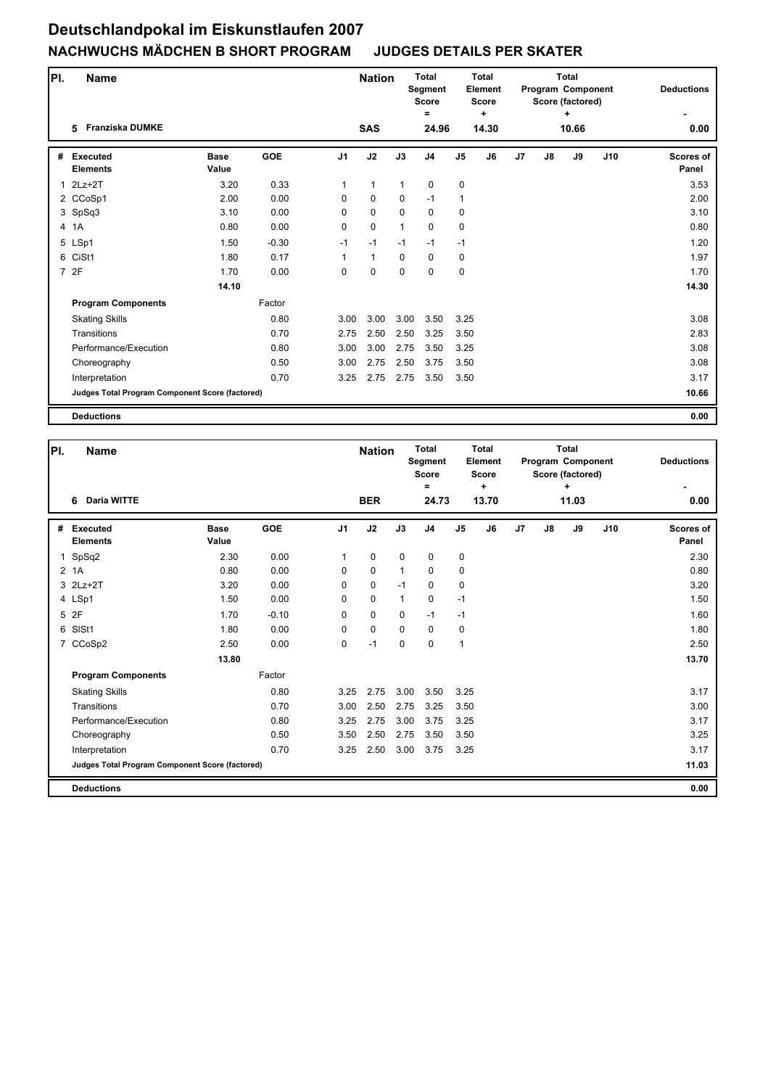| PI. | <b>Name</b>                                     |                      |            |                | <b>Nation</b> |              | <b>Total</b><br>Segment<br><b>Score</b><br>= |                | <b>Total</b><br><b>Element</b><br><b>Score</b><br>÷ |                |    | <b>Total</b><br>Program Component<br>Score (factored)<br>٠ |     | <b>Deductions</b>         |
|-----|-------------------------------------------------|----------------------|------------|----------------|---------------|--------------|----------------------------------------------|----------------|-----------------------------------------------------|----------------|----|------------------------------------------------------------|-----|---------------------------|
|     | 5 Franziska DUMKE                               |                      |            |                | <b>SAS</b>    |              | 24.96                                        |                | 14.30                                               |                |    | 10.66                                                      |     | 0.00                      |
| #   | <b>Executed</b><br><b>Elements</b>              | <b>Base</b><br>Value | <b>GOE</b> | J <sub>1</sub> | J2            | J3           | J <sub>4</sub>                               | J <sub>5</sub> | J6                                                  | J <sub>7</sub> | J8 | J9                                                         | J10 | <b>Scores of</b><br>Panel |
| 1   | $2Lz+2T$                                        | 3.20                 | 0.33       | $\mathbf{1}$   | $\mathbf{1}$  | $\mathbf{1}$ | $\mathbf 0$                                  | 0              |                                                     |                |    |                                                            |     | 3.53                      |
|     | 2 CCoSp1                                        | 2.00                 | 0.00       | 0              | $\mathbf 0$   | $\mathbf 0$  | $-1$                                         | $\mathbf{1}$   |                                                     |                |    |                                                            |     | 2.00                      |
|     | 3 SpSq3                                         | 3.10                 | 0.00       | $\mathbf 0$    | $\mathbf 0$   | $\mathbf 0$  | $\mathbf 0$                                  | $\mathbf 0$    |                                                     |                |    |                                                            |     | 3.10                      |
|     | 4 1A                                            | 0.80                 | 0.00       | $\mathbf 0$    | $\pmb{0}$     | $\mathbf{1}$ | $\pmb{0}$                                    | 0              |                                                     |                |    |                                                            |     | 0.80                      |
|     | 5 LSp1                                          | 1.50                 | $-0.30$    | $-1$           | $-1$          | $-1$         | $-1$                                         | $-1$           |                                                     |                |    |                                                            |     | 1.20                      |
|     | 6 CiSt1                                         | 1.80                 | 0.17       | 1              | $\mathbf{1}$  | $\mathbf 0$  | $\mathbf 0$                                  | 0              |                                                     |                |    |                                                            |     | 1.97                      |
|     | 7 2F                                            | 1.70                 | 0.00       | 0              | $\mathbf 0$   | $\mathbf 0$  | $\mathbf 0$                                  | 0              |                                                     |                |    |                                                            |     | 1.70                      |
|     |                                                 | 14.10                |            |                |               |              |                                              |                |                                                     |                |    |                                                            |     | 14.30                     |
|     | <b>Program Components</b>                       |                      | Factor     |                |               |              |                                              |                |                                                     |                |    |                                                            |     |                           |
|     | <b>Skating Skills</b>                           |                      | 0.80       | 3.00           | 3.00          | 3.00         | 3.50                                         | 3.25           |                                                     |                |    |                                                            |     | 3.08                      |
|     | Transitions                                     |                      | 0.70       | 2.75           | 2.50          | 2.50         | 3.25                                         | 3.50           |                                                     |                |    |                                                            |     | 2.83                      |
|     | Performance/Execution                           |                      | 0.80       | 3.00           | 3.00          | 2.75         | 3.50                                         | 3.25           |                                                     |                |    |                                                            |     | 3.08                      |
|     | Choreography                                    |                      | 0.50       | 3.00           | 2.75          | 2.50         | 3.75                                         | 3.50           |                                                     |                |    |                                                            |     | 3.08                      |
|     | Interpretation                                  |                      | 0.70       | 3.25           | 2.75          | 2.75         | 3.50                                         | 3.50           |                                                     |                |    |                                                            |     | 3.17                      |
|     | Judges Total Program Component Score (factored) |                      |            |                |               |              |                                              |                |                                                     |                |    |                                                            |     | 10.66                     |
|     | <b>Deductions</b>                               |                      |            |                |               |              |                                              |                |                                                     |                |    |                                                            |     | 0.00                      |

| PI.         | <b>Name</b>                                     |                      |            |                | <b>Nation</b> |              | <b>Total</b><br>Segment<br><b>Score</b><br>$=$ |                | <b>Total</b><br>Element<br><b>Score</b><br>÷ |                |    | <b>Total</b><br>Program Component<br>Score (factored)<br>÷ |     | <b>Deductions</b>         |
|-------------|-------------------------------------------------|----------------------|------------|----------------|---------------|--------------|------------------------------------------------|----------------|----------------------------------------------|----------------|----|------------------------------------------------------------|-----|---------------------------|
|             | <b>Daria WITTE</b><br>6                         |                      |            |                | <b>BER</b>    |              | 24.73                                          |                | 13.70                                        |                |    | 11.03                                                      |     | 0.00                      |
| #           | <b>Executed</b><br><b>Elements</b>              | <b>Base</b><br>Value | <b>GOE</b> | J <sub>1</sub> | J2            | J3           | J <sub>4</sub>                                 | J <sub>5</sub> | J6                                           | J <sub>7</sub> | J8 | J9                                                         | J10 | <b>Scores of</b><br>Panel |
| $\mathbf 1$ | SpSq2                                           | 2.30                 | 0.00       | $\mathbf{1}$   | $\mathbf 0$   | $\mathbf 0$  | $\mathbf 0$                                    | 0              |                                              |                |    |                                                            |     | 2.30                      |
|             | 2 <sub>1</sub> A                                | 0.80                 | 0.00       | 0              | $\mathbf 0$   | $\mathbf{1}$ | 0                                              | 0              |                                              |                |    |                                                            |     | 0.80                      |
|             | 3 2Lz+2T                                        | 3.20                 | 0.00       | $\Omega$       | $\mathbf 0$   | $-1$         | 0                                              | $\mathbf 0$    |                                              |                |    |                                                            |     | 3.20                      |
|             | 4 LSp1                                          | 1.50                 | 0.00       | $\Omega$       | $\mathbf 0$   | $\mathbf{1}$ | 0                                              | $-1$           |                                              |                |    |                                                            |     | 1.50                      |
|             | 5 2F                                            | 1.70                 | $-0.10$    | $\Omega$       | $\mathbf 0$   | $\mathbf 0$  | $-1$                                           | $-1$           |                                              |                |    |                                                            |     | 1.60                      |
| 6           | SIS <sub>t1</sub>                               | 1.80                 | 0.00       | 0              | $\mathbf 0$   | $\Omega$     | 0                                              | 0              |                                              |                |    |                                                            |     | 1.80                      |
|             | 7 CCoSp2                                        | 2.50                 | 0.00       | $\Omega$       | $-1$          | $\Omega$     | $\Omega$                                       | $\mathbf{1}$   |                                              |                |    |                                                            |     | 2.50                      |
|             |                                                 | 13.80                |            |                |               |              |                                                |                |                                              |                |    |                                                            |     | 13.70                     |
|             | <b>Program Components</b>                       |                      | Factor     |                |               |              |                                                |                |                                              |                |    |                                                            |     |                           |
|             | <b>Skating Skills</b>                           |                      | 0.80       | 3.25           | 2.75          | 3.00         | 3.50                                           | 3.25           |                                              |                |    |                                                            |     | 3.17                      |
|             | Transitions                                     |                      | 0.70       | 3.00           | 2.50          | 2.75         | 3.25                                           | 3.50           |                                              |                |    |                                                            |     | 3.00                      |
|             | Performance/Execution                           |                      | 0.80       | 3.25           | 2.75          | 3.00         | 3.75                                           | 3.25           |                                              |                |    |                                                            |     | 3.17                      |
|             | Choreography                                    |                      | 0.50       | 3.50           | 2.50          | 2.75         | 3.50                                           | 3.50           |                                              |                |    |                                                            |     | 3.25                      |
|             | Interpretation                                  |                      | 0.70       | 3.25           | 2.50          | 3.00         | 3.75                                           | 3.25           |                                              |                |    |                                                            |     | 3.17                      |
|             | Judges Total Program Component Score (factored) |                      |            |                |               |              |                                                |                |                                              |                |    |                                                            |     | 11.03                     |
|             | <b>Deductions</b>                               |                      |            |                |               |              |                                                |                |                                              |                |    |                                                            |     | 0.00                      |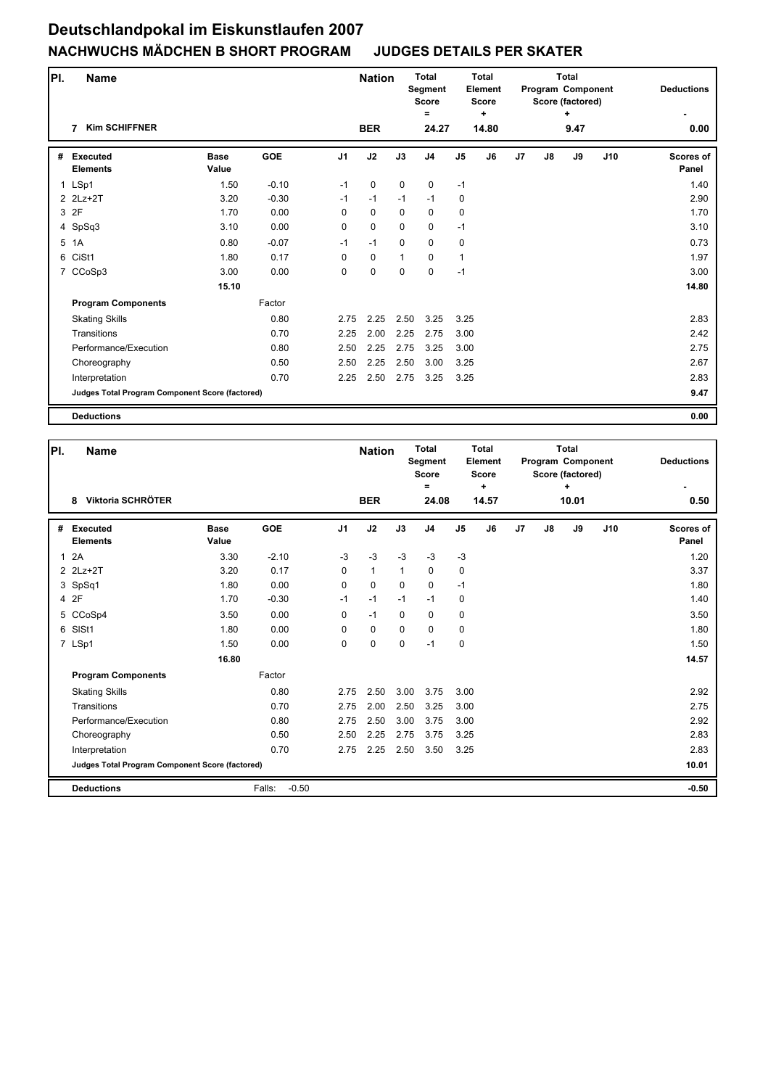| PI. | <b>Name</b>                                     |                      |            |                | <b>Nation</b> |              | <b>Total</b><br>Segment<br><b>Score</b> |                | Total<br>Element<br><b>Score</b> |                |    | <b>Total</b><br><b>Program Component</b><br>Score (factored) |     | <b>Deductions</b>  |
|-----|-------------------------------------------------|----------------------|------------|----------------|---------------|--------------|-----------------------------------------|----------------|----------------------------------|----------------|----|--------------------------------------------------------------|-----|--------------------|
|     | <b>Kim SCHIFFNER</b><br>7                       |                      |            |                | <b>BER</b>    |              | =<br>24.27                              |                | ÷<br>14.80                       |                |    | ÷<br>9.47                                                    |     | 0.00               |
| #   | <b>Executed</b><br><b>Elements</b>              | <b>Base</b><br>Value | <b>GOE</b> | J <sub>1</sub> | J2            | J3           | J <sub>4</sub>                          | J <sub>5</sub> | J6                               | J <sub>7</sub> | J8 | J9                                                           | J10 | Scores of<br>Panel |
|     | 1 LSp1                                          | 1.50                 | $-0.10$    | $-1$           | $\mathbf 0$   | $\mathbf 0$  | $\mathbf 0$                             | $-1$           |                                  |                |    |                                                              |     | 1.40               |
|     | 2 2Lz+2T                                        | 3.20                 | $-0.30$    | $-1$           | $-1$          | $-1$         | $-1$                                    | $\mathbf 0$    |                                  |                |    |                                                              |     | 2.90               |
|     | 3 2F                                            | 1.70                 | 0.00       | 0              | $\mathbf 0$   | 0            | 0                                       | $\mathbf 0$    |                                  |                |    |                                                              |     | 1.70               |
|     | 4 SpSq3                                         | 3.10                 | 0.00       | 0              | $\mathbf 0$   | $\mathbf 0$  | 0                                       | $-1$           |                                  |                |    |                                                              |     | 3.10               |
| 5   | 1A                                              | 0.80                 | $-0.07$    | $-1$           | $-1$          | $\mathbf 0$  | 0                                       | 0              |                                  |                |    |                                                              |     | 0.73               |
|     | 6 CiSt1                                         | 1.80                 | 0.17       | $\mathbf 0$    | $\mathbf 0$   | $\mathbf{1}$ | $\mathbf 0$                             | $\mathbf{1}$   |                                  |                |    |                                                              |     | 1.97               |
|     | 7 CCoSp3                                        | 3.00                 | 0.00       | 0              | $\pmb{0}$     | $\mathbf 0$  | 0                                       | $-1$           |                                  |                |    |                                                              |     | 3.00               |
|     |                                                 | 15.10                |            |                |               |              |                                         |                |                                  |                |    |                                                              |     | 14.80              |
|     | <b>Program Components</b>                       |                      | Factor     |                |               |              |                                         |                |                                  |                |    |                                                              |     |                    |
|     | <b>Skating Skills</b>                           |                      | 0.80       | 2.75           | 2.25          | 2.50         | 3.25                                    | 3.25           |                                  |                |    |                                                              |     | 2.83               |
|     | Transitions                                     |                      | 0.70       | 2.25           | 2.00          | 2.25         | 2.75                                    | 3.00           |                                  |                |    |                                                              |     | 2.42               |
|     | Performance/Execution                           |                      | 0.80       | 2.50           | 2.25          | 2.75         | 3.25                                    | 3.00           |                                  |                |    |                                                              |     | 2.75               |
|     | Choreography                                    |                      | 0.50       | 2.50           | 2.25          | 2.50         | 3.00                                    | 3.25           |                                  |                |    |                                                              |     | 2.67               |
|     | Interpretation                                  |                      | 0.70       | 2.25           | 2.50          | 2.75         | 3.25                                    | 3.25           |                                  |                |    |                                                              |     | 2.83               |
|     | Judges Total Program Component Score (factored) |                      |            |                |               |              |                                         |                |                                  |                |    |                                                              |     | 9.47               |
|     | <b>Deductions</b>                               |                      |            |                |               |              |                                         |                |                                  |                |    |                                                              |     | 0.00               |

| PI.          | <b>Name</b>                                     |                      |                   |                | <b>Nation</b> |              | Total<br>Segment<br><b>Score</b><br>$=$ |                | Total<br><b>Element</b><br><b>Score</b><br>÷ |                |    | Total<br>Program Component<br>Score (factored)<br>$\ddot{}$ |     | <b>Deductions</b>         |
|--------------|-------------------------------------------------|----------------------|-------------------|----------------|---------------|--------------|-----------------------------------------|----------------|----------------------------------------------|----------------|----|-------------------------------------------------------------|-----|---------------------------|
|              | Viktoria SCHRÖTER<br>8                          |                      |                   |                | <b>BER</b>    |              | 24.08                                   |                | 14.57                                        |                |    | 10.01                                                       |     | 0.50                      |
| #            | <b>Executed</b><br><b>Elements</b>              | <b>Base</b><br>Value | <b>GOE</b>        | J <sub>1</sub> | J2            | J3           | J <sub>4</sub>                          | J <sub>5</sub> | J6                                           | J <sub>7</sub> | J8 | J9                                                          | J10 | <b>Scores of</b><br>Panel |
| $\mathbf{1}$ | 2A                                              | 3.30                 | $-2.10$           | $-3$           | $-3$          | $-3$         | $-3$                                    | $-3$           |                                              |                |    |                                                             |     | 1.20                      |
|              | 2 2Lz+2T                                        | 3.20                 | 0.17              | 0              | $\mathbf{1}$  | $\mathbf{1}$ | 0                                       | 0              |                                              |                |    |                                                             |     | 3.37                      |
|              | 3 SpSq1                                         | 1.80                 | 0.00              | 0              | $\mathbf 0$   | $\mathbf 0$  | 0                                       | $-1$           |                                              |                |    |                                                             |     | 1.80                      |
|              | 4 2F                                            | 1.70                 | $-0.30$           | $-1$           | $-1$          | $-1$         | $-1$                                    | 0              |                                              |                |    |                                                             |     | 1.40                      |
|              | 5 CCoSp4                                        | 3.50                 | 0.00              | 0              | $-1$          | $\mathbf 0$  | 0                                       | $\mathbf 0$    |                                              |                |    |                                                             |     | 3.50                      |
|              | 6 SISt1                                         | 1.80                 | 0.00              | 0              | 0             | $\mathbf 0$  | $\mathbf 0$                             | 0              |                                              |                |    |                                                             |     | 1.80                      |
|              | 7 LSp1                                          | 1.50                 | 0.00              | 0              | $\mathbf 0$   | 0            | $-1$                                    | $\mathbf 0$    |                                              |                |    |                                                             |     | 1.50                      |
|              |                                                 | 16.80                |                   |                |               |              |                                         |                |                                              |                |    |                                                             |     | 14.57                     |
|              | <b>Program Components</b>                       |                      | Factor            |                |               |              |                                         |                |                                              |                |    |                                                             |     |                           |
|              | <b>Skating Skills</b>                           |                      | 0.80              | 2.75           | 2.50          | 3.00         | 3.75                                    | 3.00           |                                              |                |    |                                                             |     | 2.92                      |
|              | Transitions                                     |                      | 0.70              | 2.75           | 2.00          | 2.50         | 3.25                                    | 3.00           |                                              |                |    |                                                             |     | 2.75                      |
|              | Performance/Execution                           |                      | 0.80              | 2.75           | 2.50          | 3.00         | 3.75                                    | 3.00           |                                              |                |    |                                                             |     | 2.92                      |
|              | Choreography                                    |                      | 0.50              | 2.50           | 2.25          | 2.75         | 3.75                                    | 3.25           |                                              |                |    |                                                             |     | 2.83                      |
|              | Interpretation                                  |                      | 0.70              | 2.75           | 2.25          | 2.50         | 3.50                                    | 3.25           |                                              |                |    |                                                             |     | 2.83                      |
|              | Judges Total Program Component Score (factored) |                      |                   |                |               |              |                                         |                |                                              |                |    |                                                             |     | 10.01                     |
|              | <b>Deductions</b>                               |                      | $-0.50$<br>Falls: |                |               |              |                                         |                |                                              |                |    |                                                             |     | $-0.50$                   |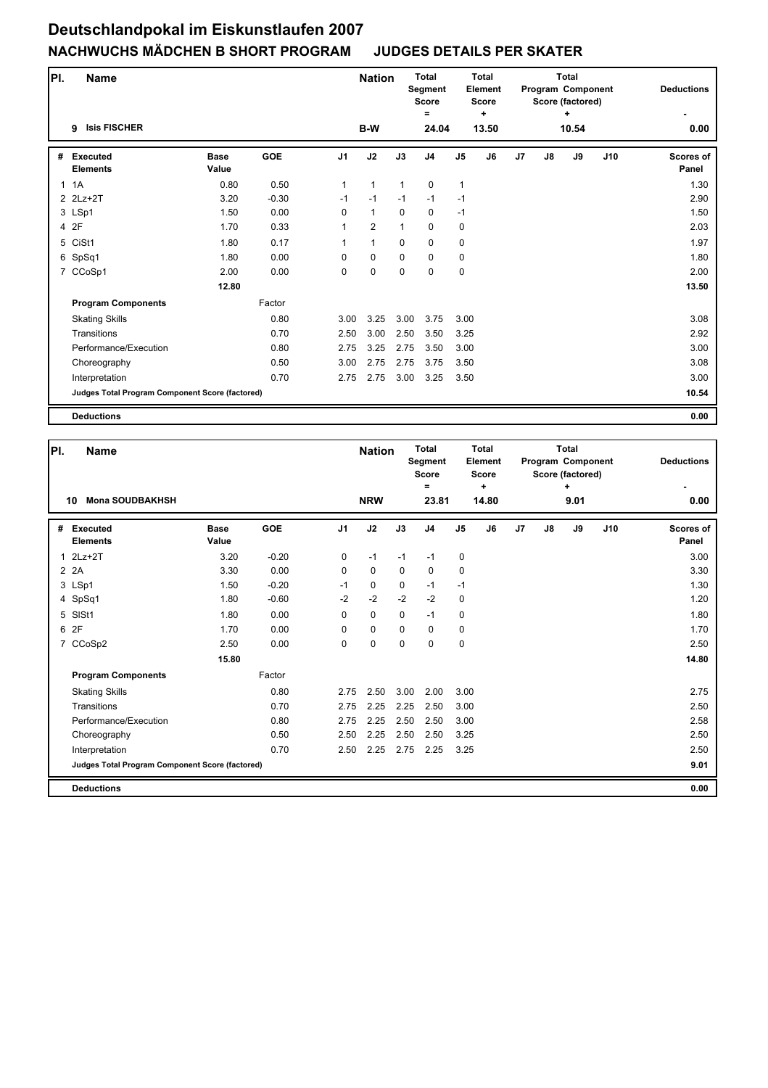| PI. | <b>Name</b>                                     |                      |            |                | <b>Nation</b>  |              | <b>Total</b><br>Segment<br><b>Score</b> |                | <b>Total</b><br><b>Element</b><br><b>Score</b> |                |    | <b>Total</b><br>Program Component<br>Score (factored) |     | <b>Deductions</b>         |
|-----|-------------------------------------------------|----------------------|------------|----------------|----------------|--------------|-----------------------------------------|----------------|------------------------------------------------|----------------|----|-------------------------------------------------------|-----|---------------------------|
|     | <b>Isis FISCHER</b><br>9                        |                      |            |                | B-W            |              | =<br>24.04                              |                | ÷<br>13.50                                     |                |    | ٠<br>10.54                                            |     | 0.00                      |
| #   | <b>Executed</b><br><b>Elements</b>              | <b>Base</b><br>Value | <b>GOE</b> | J <sub>1</sub> | J2             | J3           | J <sub>4</sub>                          | J <sub>5</sub> | J6                                             | J <sub>7</sub> | J8 | J9                                                    | J10 | <b>Scores of</b><br>Panel |
|     | 1.1A                                            | 0.80                 | 0.50       | $\mathbf{1}$   | $\mathbf{1}$   | $\mathbf{1}$ | $\mathbf 0$                             | $\mathbf{1}$   |                                                |                |    |                                                       |     | 1.30                      |
|     | 2 2Lz+2T                                        | 3.20                 | $-0.30$    | $-1$           | $-1$           | $-1$         | $-1$                                    | $-1$           |                                                |                |    |                                                       |     | 2.90                      |
|     | 3 LSp1                                          | 1.50                 | 0.00       | 0              | $\mathbf{1}$   | $\mathbf 0$  | $\mathbf 0$                             | $-1$           |                                                |                |    |                                                       |     | 1.50                      |
|     | 4 2F                                            | 1.70                 | 0.33       | 1              | $\overline{2}$ | $\mathbf{1}$ | $\pmb{0}$                               | 0              |                                                |                |    |                                                       |     | 2.03                      |
|     | 5 CiSt1                                         | 1.80                 | 0.17       | 1              | $\mathbf{1}$   | $\mathbf 0$  | $\mathbf 0$                             | 0              |                                                |                |    |                                                       |     | 1.97                      |
|     | 6 SpSq1                                         | 1.80                 | 0.00       | 0              | $\mathbf 0$    | $\mathbf 0$  | $\mathbf 0$                             | 0              |                                                |                |    |                                                       |     | 1.80                      |
|     | 7 CCoSp1                                        | 2.00                 | 0.00       | 0              | $\pmb{0}$      | $\mathbf 0$  | $\mathbf 0$                             | $\pmb{0}$      |                                                |                |    |                                                       |     | 2.00                      |
|     |                                                 | 12.80                |            |                |                |              |                                         |                |                                                |                |    |                                                       |     | 13.50                     |
|     | <b>Program Components</b>                       |                      | Factor     |                |                |              |                                         |                |                                                |                |    |                                                       |     |                           |
|     | <b>Skating Skills</b>                           |                      | 0.80       | 3.00           | 3.25           | 3.00         | 3.75                                    | 3.00           |                                                |                |    |                                                       |     | 3.08                      |
|     | Transitions                                     |                      | 0.70       | 2.50           | 3.00           | 2.50         | 3.50                                    | 3.25           |                                                |                |    |                                                       |     | 2.92                      |
|     | Performance/Execution                           |                      | 0.80       | 2.75           | 3.25           | 2.75         | 3.50                                    | 3.00           |                                                |                |    |                                                       |     | 3.00                      |
|     | Choreography                                    |                      | 0.50       | 3.00           | 2.75           | 2.75         | 3.75                                    | 3.50           |                                                |                |    |                                                       |     | 3.08                      |
|     | Interpretation                                  |                      | 0.70       | 2.75           | 2.75           | 3.00         | 3.25                                    | 3.50           |                                                |                |    |                                                       |     | 3.00                      |
|     | Judges Total Program Component Score (factored) |                      |            |                |                |              |                                         |                |                                                |                |    |                                                       |     | 10.54                     |
|     | <b>Deductions</b>                               |                      |            |                |                |              |                                         |                |                                                |                |    |                                                       |     | 0.00                      |

| PI.          | <b>Name</b>                                     |                      |            |                | <b>Nation</b> |             | <b>Total</b><br><b>Segment</b><br><b>Score</b><br>Ξ |                | <b>Total</b><br><b>Element</b><br><b>Score</b> |                |    | <b>Total</b><br>Program Component<br>Score (factored) |     | <b>Deductions</b>         |
|--------------|-------------------------------------------------|----------------------|------------|----------------|---------------|-------------|-----------------------------------------------------|----------------|------------------------------------------------|----------------|----|-------------------------------------------------------|-----|---------------------------|
|              | <b>Mona SOUDBAKHSH</b><br>10                    |                      |            |                | <b>NRW</b>    |             | 23.81                                               |                | ٠<br>14.80                                     |                |    | ٠<br>9.01                                             |     | 0.00                      |
| #            | <b>Executed</b><br><b>Elements</b>              | <b>Base</b><br>Value | <b>GOE</b> | J <sub>1</sub> | J2            | J3          | J <sub>4</sub>                                      | J <sub>5</sub> | J6                                             | J <sub>7</sub> | J8 | J9                                                    | J10 | <b>Scores of</b><br>Panel |
| $\mathbf{1}$ | $2Lz+2T$                                        | 3.20                 | $-0.20$    | 0              | $-1$          | $-1$        | $-1$                                                | 0              |                                                |                |    |                                                       |     | 3.00                      |
|              | 2 2A                                            | 3.30                 | 0.00       | 0              | $\mathbf 0$   | $\mathbf 0$ | $\mathbf 0$                                         | 0              |                                                |                |    |                                                       |     | 3.30                      |
|              | 3 LSp1                                          | 1.50                 | $-0.20$    | $-1$           | $\mathbf 0$   | $\Omega$    | $-1$                                                | $-1$           |                                                |                |    |                                                       |     | 1.30                      |
|              | 4 SpSq1                                         | 1.80                 | $-0.60$    | $-2$           | $-2$          | $-2$        | $-2$                                                | 0              |                                                |                |    |                                                       |     | 1.20                      |
| 5            | SISt1                                           | 1.80                 | 0.00       | $\Omega$       | $\mathbf 0$   | $\Omega$    | $-1$                                                | 0              |                                                |                |    |                                                       |     | 1.80                      |
| 6            | 2F                                              | 1.70                 | 0.00       | $\Omega$       | 0             | $\Omega$    | $\mathbf 0$                                         | 0              |                                                |                |    |                                                       |     | 1.70                      |
|              | 7 CCoSp2                                        | 2.50                 | 0.00       | 0              | $\mathbf 0$   | $\Omega$    | $\Omega$                                            | 0              |                                                |                |    |                                                       |     | 2.50                      |
|              |                                                 | 15.80                |            |                |               |             |                                                     |                |                                                |                |    |                                                       |     | 14.80                     |
|              | <b>Program Components</b>                       |                      | Factor     |                |               |             |                                                     |                |                                                |                |    |                                                       |     |                           |
|              | <b>Skating Skills</b>                           |                      | 0.80       | 2.75           | 2.50          | 3.00        | 2.00                                                | 3.00           |                                                |                |    |                                                       |     | 2.75                      |
|              | Transitions                                     |                      | 0.70       | 2.75           | 2.25          | 2.25        | 2.50                                                | 3.00           |                                                |                |    |                                                       |     | 2.50                      |
|              | Performance/Execution                           |                      | 0.80       | 2.75           | 2.25          | 2.50        | 2.50                                                | 3.00           |                                                |                |    |                                                       |     | 2.58                      |
|              | Choreography                                    |                      | 0.50       | 2.50           | 2.25          | 2.50        | 2.50                                                | 3.25           |                                                |                |    |                                                       |     | 2.50                      |
|              | Interpretation                                  |                      | 0.70       | 2.50           | 2.25          | 2.75        | 2.25                                                | 3.25           |                                                |                |    |                                                       |     | 2.50                      |
|              | Judges Total Program Component Score (factored) |                      |            |                |               |             |                                                     |                |                                                |                |    |                                                       |     | 9.01                      |
|              | <b>Deductions</b>                               |                      |            |                |               |             |                                                     |                |                                                |                |    |                                                       |     | 0.00                      |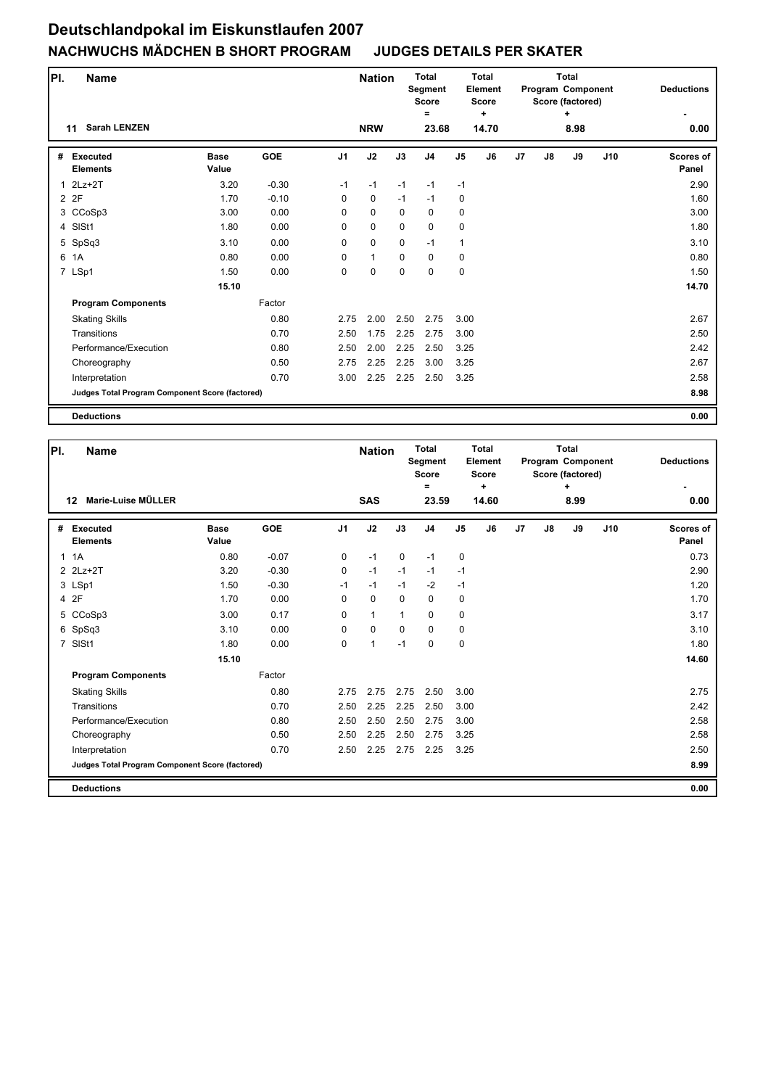| PI. | <b>Name</b>                                     |                      |            |                | <b>Nation</b> |             | <b>Total</b><br>Segment<br><b>Score</b><br>Ξ |                | <b>Total</b><br><b>Element</b><br><b>Score</b><br>÷ |                |    | <b>Total</b><br>Program Component<br>Score (factored)<br>٠ |     | <b>Deductions</b>         |
|-----|-------------------------------------------------|----------------------|------------|----------------|---------------|-------------|----------------------------------------------|----------------|-----------------------------------------------------|----------------|----|------------------------------------------------------------|-----|---------------------------|
|     | <b>Sarah LENZEN</b><br>11                       |                      |            |                | <b>NRW</b>    |             | 23.68                                        |                | 14.70                                               |                |    | 8.98                                                       |     | 0.00                      |
| #   | <b>Executed</b><br><b>Elements</b>              | <b>Base</b><br>Value | <b>GOE</b> | J <sub>1</sub> | J2            | J3          | J <sub>4</sub>                               | J <sub>5</sub> | J6                                                  | J <sub>7</sub> | J8 | J9                                                         | J10 | <b>Scores of</b><br>Panel |
| 1   | $2Lz+2T$                                        | 3.20                 | $-0.30$    | $-1$           | $-1$          | $-1$        | $-1$                                         | $-1$           |                                                     |                |    |                                                            |     | 2.90                      |
|     | 2 2F                                            | 1.70                 | $-0.10$    | 0              | $\mathbf 0$   | $-1$        | $-1$                                         | $\mathbf 0$    |                                                     |                |    |                                                            |     | 1.60                      |
|     | 3 CCoSp3                                        | 3.00                 | 0.00       | $\Omega$       | $\mathbf 0$   | $\mathbf 0$ | $\mathbf 0$                                  | $\mathbf 0$    |                                                     |                |    |                                                            |     | 3.00                      |
|     | 4 SISt1                                         | 1.80                 | 0.00       | 0              | 0             | $\mathbf 0$ | $\mathbf 0$                                  | 0              |                                                     |                |    |                                                            |     | 1.80                      |
|     | 5 SpSq3                                         | 3.10                 | 0.00       | 0              | $\mathbf 0$   | $\mathbf 0$ | $-1$                                         | $\mathbf{1}$   |                                                     |                |    |                                                            |     | 3.10                      |
| 6   | 1A                                              | 0.80                 | 0.00       | 0              | $\mathbf{1}$  | $\mathbf 0$ | 0                                            | 0              |                                                     |                |    |                                                            |     | 0.80                      |
|     | 7 LSp1                                          | 1.50                 | 0.00       | 0              | $\mathbf 0$   | $\mathbf 0$ | 0                                            | $\mathbf 0$    |                                                     |                |    |                                                            |     | 1.50                      |
|     |                                                 | 15.10                |            |                |               |             |                                              |                |                                                     |                |    |                                                            |     | 14.70                     |
|     | <b>Program Components</b>                       |                      | Factor     |                |               |             |                                              |                |                                                     |                |    |                                                            |     |                           |
|     | <b>Skating Skills</b>                           |                      | 0.80       | 2.75           | 2.00          | 2.50        | 2.75                                         | 3.00           |                                                     |                |    |                                                            |     | 2.67                      |
|     | Transitions                                     |                      | 0.70       | 2.50           | 1.75          | 2.25        | 2.75                                         | 3.00           |                                                     |                |    |                                                            |     | 2.50                      |
|     | Performance/Execution                           |                      | 0.80       | 2.50           | 2.00          | 2.25        | 2.50                                         | 3.25           |                                                     |                |    |                                                            |     | 2.42                      |
|     | Choreography                                    |                      | 0.50       | 2.75           | 2.25          | 2.25        | 3.00                                         | 3.25           |                                                     |                |    |                                                            |     | 2.67                      |
|     | Interpretation                                  |                      | 0.70       | 3.00           | 2.25          | 2.25        | 2.50                                         | 3.25           |                                                     |                |    |                                                            |     | 2.58                      |
|     | Judges Total Program Component Score (factored) |                      |            |                |               |             |                                              |                |                                                     |                |    |                                                            |     | 8.98                      |
|     | <b>Deductions</b>                               |                      |            |                |               |             |                                              |                |                                                     |                |    |                                                            |     | 0.00                      |

| PI.            | <b>Name</b>                                     |                      |            |                | <b>Nation</b> |              | <b>Total</b><br>Segment<br><b>Score</b><br>$=$ |                | Total<br>Element<br><b>Score</b><br>$\ddot{}$ |                |    | Total<br>Program Component<br>Score (factored)<br>٠ |     | <b>Deductions</b>         |
|----------------|-------------------------------------------------|----------------------|------------|----------------|---------------|--------------|------------------------------------------------|----------------|-----------------------------------------------|----------------|----|-----------------------------------------------------|-----|---------------------------|
|                | Marie-Luise MÜLLER<br>12                        |                      |            |                | <b>SAS</b>    |              | 23.59                                          |                | 14.60                                         |                |    | 8.99                                                |     | 0.00                      |
| #              | <b>Executed</b><br><b>Elements</b>              | <b>Base</b><br>Value | <b>GOE</b> | J <sub>1</sub> | J2            | J3           | J <sub>4</sub>                                 | J <sub>5</sub> | J6                                            | J <sub>7</sub> | J8 | J9                                                  | J10 | <b>Scores of</b><br>Panel |
| $\mathbf{1}$   | 1A                                              | 0.80                 | $-0.07$    | $\mathbf 0$    | $-1$          | $\mathbf 0$  | $-1$                                           | $\mathbf 0$    |                                               |                |    |                                                     |     | 0.73                      |
|                | 2 2Lz+2T                                        | 3.20                 | $-0.30$    | 0              | $-1$          | $-1$         | $-1$                                           | $-1$           |                                               |                |    |                                                     |     | 2.90                      |
|                | 3 LSp1                                          | 1.50                 | $-0.30$    | $-1$           | $-1$          | $-1$         | $-2$                                           | $-1$           |                                               |                |    |                                                     |     | 1.20                      |
|                | 4 2F                                            | 1.70                 | 0.00       | 0              | $\mathbf 0$   | $\Omega$     | 0                                              | 0              |                                               |                |    |                                                     |     | 1.70                      |
|                | 5 CCoSp3                                        | 3.00                 | 0.17       | $\Omega$       | $\mathbf{1}$  | $\mathbf{1}$ | 0                                              | 0              |                                               |                |    |                                                     |     | 3.17                      |
|                | 6 SpSq3                                         | 3.10                 | 0.00       | $\Omega$       | $\mathbf 0$   | $\Omega$     | $\Omega$                                       | 0              |                                               |                |    |                                                     |     | 3.10                      |
| $\overline{7}$ | SISt1                                           | 1.80                 | 0.00       | $\Omega$       | $\mathbf{1}$  | $-1$         | $\Omega$                                       | 0              |                                               |                |    |                                                     |     | 1.80                      |
|                |                                                 | 15.10                |            |                |               |              |                                                |                |                                               |                |    |                                                     |     | 14.60                     |
|                | <b>Program Components</b>                       |                      | Factor     |                |               |              |                                                |                |                                               |                |    |                                                     |     |                           |
|                | <b>Skating Skills</b>                           |                      | 0.80       | 2.75           | 2.75          | 2.75         | 2.50                                           | 3.00           |                                               |                |    |                                                     |     | 2.75                      |
|                | Transitions                                     |                      | 0.70       | 2.50           | 2.25          | 2.25         | 2.50                                           | 3.00           |                                               |                |    |                                                     |     | 2.42                      |
|                | Performance/Execution                           |                      | 0.80       | 2.50           | 2.50          | 2.50         | 2.75                                           | 3.00           |                                               |                |    |                                                     |     | 2.58                      |
|                | Choreography                                    |                      | 0.50       | 2.50           | 2.25          | 2.50         | 2.75                                           | 3.25           |                                               |                |    |                                                     |     | 2.58                      |
|                | Interpretation                                  |                      | 0.70       | 2.50           | 2.25          | 2.75         | 2.25                                           | 3.25           |                                               |                |    |                                                     |     | 2.50                      |
|                | Judges Total Program Component Score (factored) |                      |            |                |               |              |                                                |                |                                               |                |    |                                                     |     | 8.99                      |
|                | <b>Deductions</b>                               |                      |            |                |               |              |                                                |                |                                               |                |    |                                                     |     | 0.00                      |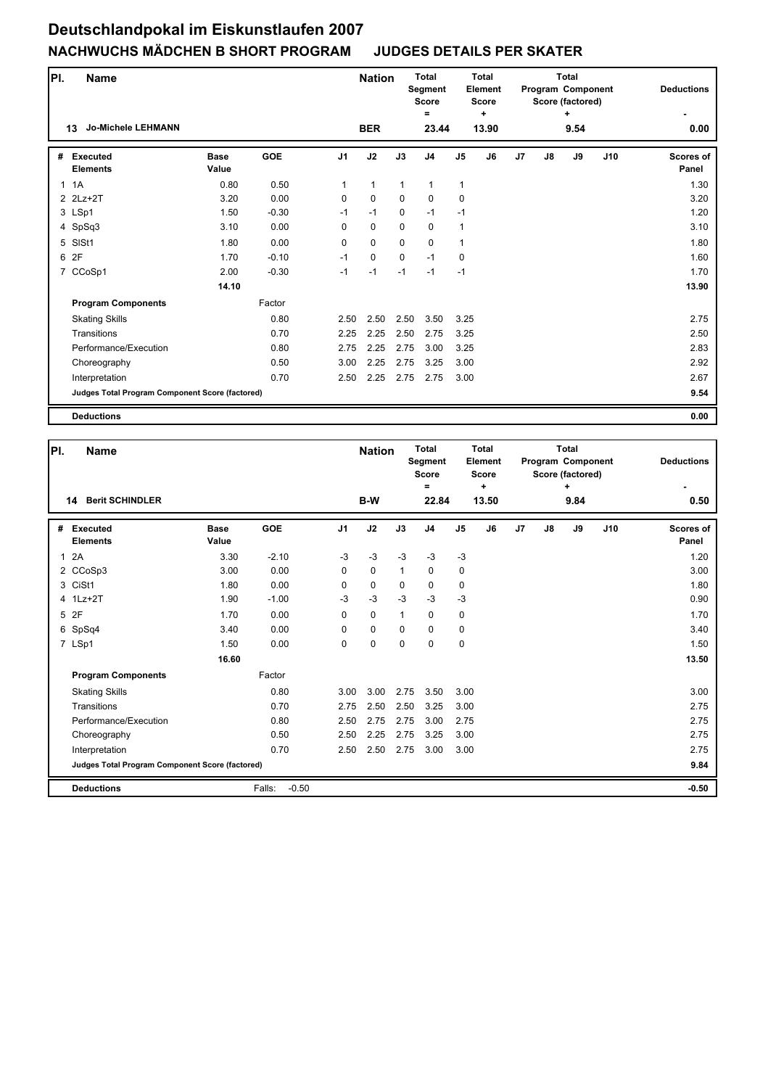| PI. | <b>Name</b>                                     |                      |            |                | <b>Nation</b> |              | <b>Total</b><br>Segment<br><b>Score</b> | Total<br>Element<br><b>Score</b><br>÷ |       |                |    | <b>Total</b><br><b>Program Component</b><br>Score (factored) |     | <b>Deductions</b>  |  |
|-----|-------------------------------------------------|----------------------|------------|----------------|---------------|--------------|-----------------------------------------|---------------------------------------|-------|----------------|----|--------------------------------------------------------------|-----|--------------------|--|
|     | <b>Jo-Michele LEHMANN</b><br>13                 |                      |            |                | <b>BER</b>    |              | =<br>23.44                              |                                       | 13.90 |                |    | ÷<br>9.54                                                    |     | 0.00               |  |
| #   | <b>Executed</b><br><b>Elements</b>              | <b>Base</b><br>Value | <b>GOE</b> | J <sub>1</sub> | J2            | J3           | J <sub>4</sub>                          | J <sub>5</sub>                        | J6    | J <sub>7</sub> | J8 | J9                                                           | J10 | Scores of<br>Panel |  |
|     | 1.1A                                            | 0.80                 | 0.50       | 1              | $\mathbf{1}$  | $\mathbf{1}$ | $\mathbf{1}$                            | $\mathbf{1}$                          |       |                |    |                                                              |     | 1.30               |  |
|     | 2 2Lz+2T                                        | 3.20                 | 0.00       | 0              | $\mathbf 0$   | $\mathbf 0$  | $\mathbf 0$                             | $\mathbf 0$                           |       |                |    |                                                              |     | 3.20               |  |
|     | 3 LSp1                                          | 1.50                 | $-0.30$    | $-1$           | $-1$          | $\mathbf 0$  | $-1$                                    | $-1$                                  |       |                |    |                                                              |     | 1.20               |  |
|     | 4 SpSq3                                         | 3.10                 | 0.00       | 0              | $\mathbf 0$   | $\mathbf 0$  | $\pmb{0}$                               | $\mathbf{1}$                          |       |                |    |                                                              |     | 3.10               |  |
|     | 5 SISt1                                         | 1.80                 | 0.00       | 0              | $\mathbf 0$   | $\mathbf 0$  | $\mathbf 0$                             | 1                                     |       |                |    |                                                              |     | 1.80               |  |
| 6   | 2F                                              | 1.70                 | $-0.10$    | $-1$           | $\mathbf 0$   | $\mathbf 0$  | $-1$                                    | $\mathbf 0$                           |       |                |    |                                                              |     | 1.60               |  |
|     | 7 CCoSp1                                        | 2.00                 | $-0.30$    | $-1$           | $-1$          | $-1$         | $-1$                                    | $-1$                                  |       |                |    |                                                              |     | 1.70               |  |
|     |                                                 | 14.10                |            |                |               |              |                                         |                                       |       |                |    |                                                              |     | 13.90              |  |
|     | <b>Program Components</b>                       |                      | Factor     |                |               |              |                                         |                                       |       |                |    |                                                              |     |                    |  |
|     | <b>Skating Skills</b>                           |                      | 0.80       | 2.50           | 2.50          | 2.50         | 3.50                                    | 3.25                                  |       |                |    |                                                              |     | 2.75               |  |
|     | Transitions                                     |                      | 0.70       | 2.25           | 2.25          | 2.50         | 2.75                                    | 3.25                                  |       |                |    |                                                              |     | 2.50               |  |
|     | Performance/Execution                           |                      | 0.80       | 2.75           | 2.25          | 2.75         | 3.00                                    | 3.25                                  |       |                |    |                                                              |     | 2.83               |  |
|     | Choreography                                    |                      | 0.50       | 3.00           | 2.25          | 2.75         | 3.25                                    | 3.00                                  |       |                |    |                                                              |     | 2.92               |  |
|     | Interpretation                                  |                      | 0.70       | 2.50           | 2.25          | 2.75         | 2.75                                    | 3.00                                  |       |                |    |                                                              |     | 2.67               |  |
|     | Judges Total Program Component Score (factored) |                      |            |                |               |              |                                         |                                       |       |                |    |                                                              |     | 9.54               |  |
|     | <b>Deductions</b>                               |                      |            |                |               |              |                                         |                                       |       |                |    |                                                              |     | 0.00               |  |

| PI.          | Name                                            |                      |                   |                | <b>Nation</b> |              | <b>Total</b><br>Segment<br>Score<br>Ξ |                | Total<br>Element<br><b>Score</b><br>٠ |                |    | Total<br><b>Program Component</b><br>Score (factored)<br>٠ |     | <b>Deductions</b>         |
|--------------|-------------------------------------------------|----------------------|-------------------|----------------|---------------|--------------|---------------------------------------|----------------|---------------------------------------|----------------|----|------------------------------------------------------------|-----|---------------------------|
|              | <b>Berit SCHINDLER</b><br>14                    |                      |                   |                | B-W           |              | 22.84                                 |                | 13.50                                 |                |    | 9.84                                                       |     | 0.50                      |
| #            | <b>Executed</b><br><b>Elements</b>              | <b>Base</b><br>Value | <b>GOE</b>        | J <sub>1</sub> | J2            | J3           | J <sub>4</sub>                        | J <sub>5</sub> | J6                                    | J <sub>7</sub> | J8 | J9                                                         | J10 | <b>Scores of</b><br>Panel |
| $\mathbf{1}$ | 2A                                              | 3.30                 | $-2.10$           | $-3$           | $-3$          | $-3$         | $-3$                                  | $-3$           |                                       |                |    |                                                            |     | 1.20                      |
|              | 2 CCoSp3                                        | 3.00                 | 0.00              | 0              | $\mathbf 0$   | $\mathbf{1}$ | $\mathbf 0$                           | 0              |                                       |                |    |                                                            |     | 3.00                      |
|              | 3 CiSt1                                         | 1.80                 | 0.00              | 0              | $\mathbf 0$   | $\mathbf 0$  | $\mathbf 0$                           | $\mathbf 0$    |                                       |                |    |                                                            |     | 1.80                      |
|              | 4 1Lz+2T                                        | 1.90                 | $-1.00$           | $-3$           | $-3$          | $-3$         | $-3$                                  | $-3$           |                                       |                |    |                                                            |     | 0.90                      |
|              | 5 2F                                            | 1.70                 | 0.00              | $\Omega$       | $\mathbf 0$   | $\mathbf{1}$ | $\mathbf 0$                           | 0              |                                       |                |    |                                                            |     | 1.70                      |
|              | 6 SpSq4                                         | 3.40                 | 0.00              | 0              | $\mathbf 0$   | $\Omega$     | $\mathbf 0$                           | 0              |                                       |                |    |                                                            |     | 3.40                      |
|              | 7 LSp1                                          | 1.50                 | 0.00              | 0              | 0             | $\Omega$     | $\Omega$                              | $\mathbf 0$    |                                       |                |    |                                                            |     | 1.50                      |
|              |                                                 | 16.60                |                   |                |               |              |                                       |                |                                       |                |    |                                                            |     | 13.50                     |
|              | <b>Program Components</b>                       |                      | Factor            |                |               |              |                                       |                |                                       |                |    |                                                            |     |                           |
|              | <b>Skating Skills</b>                           |                      | 0.80              | 3.00           | 3.00          | 2.75         | 3.50                                  | 3.00           |                                       |                |    |                                                            |     | 3.00                      |
|              | Transitions                                     |                      | 0.70              | 2.75           | 2.50          | 2.50         | 3.25                                  | 3.00           |                                       |                |    |                                                            |     | 2.75                      |
|              | Performance/Execution                           |                      | 0.80              | 2.50           | 2.75          | 2.75         | 3.00                                  | 2.75           |                                       |                |    |                                                            |     | 2.75                      |
|              | Choreography                                    |                      | 0.50              | 2.50           | 2.25          | 2.75         | 3.25                                  | 3.00           |                                       |                |    |                                                            |     | 2.75                      |
|              | Interpretation                                  |                      | 0.70              | 2.50           | 2.50          | 2.75         | 3.00                                  | 3.00           |                                       |                |    |                                                            |     | 2.75                      |
|              | Judges Total Program Component Score (factored) |                      |                   |                |               |              |                                       |                |                                       |                |    |                                                            |     | 9.84                      |
|              | <b>Deductions</b>                               |                      | $-0.50$<br>Falls: |                |               |              |                                       |                |                                       |                |    |                                                            |     | $-0.50$                   |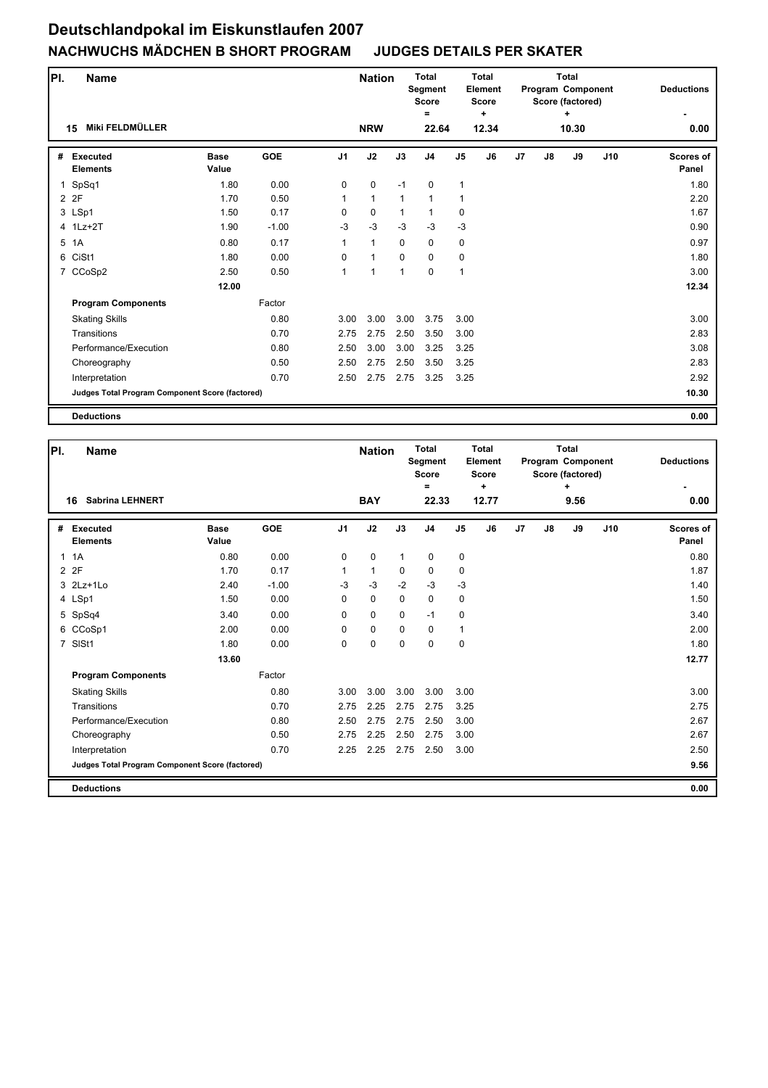| PI. | <b>Name</b>                                     |                      |            |                | <b>Nation</b> |              | <b>Total</b><br><b>Segment</b><br><b>Score</b><br>= |                | <b>Total</b><br><b>Element</b><br><b>Score</b><br>÷ |                |    | <b>Total</b><br>Program Component<br>Score (factored)<br>٠ |     | <b>Deductions</b>         |
|-----|-------------------------------------------------|----------------------|------------|----------------|---------------|--------------|-----------------------------------------------------|----------------|-----------------------------------------------------|----------------|----|------------------------------------------------------------|-----|---------------------------|
|     | Miki FELDMÜLLER<br>15                           |                      |            |                | <b>NRW</b>    |              | 22.64                                               |                | 12.34                                               |                |    | 10.30                                                      |     | 0.00                      |
| #   | <b>Executed</b><br><b>Elements</b>              | <b>Base</b><br>Value | <b>GOE</b> | J <sub>1</sub> | J2            | J3           | J <sub>4</sub>                                      | J <sub>5</sub> | J6                                                  | J <sub>7</sub> | J8 | J9                                                         | J10 | <b>Scores of</b><br>Panel |
| 1   | SpSq1                                           | 1.80                 | 0.00       | $\Omega$       | 0             | $-1$         | $\mathbf 0$                                         | $\mathbf{1}$   |                                                     |                |    |                                                            |     | 1.80                      |
|     | 2 2F                                            | 1.70                 | 0.50       | $\mathbf{1}$   | $\mathbf{1}$  | $\mathbf{1}$ | $\mathbf{1}$                                        | 1              |                                                     |                |    |                                                            |     | 2.20                      |
|     | 3 LSp1                                          | 1.50                 | 0.17       | 0              | $\mathbf 0$   | $\mathbf{1}$ | $\mathbf{1}$                                        | $\mathbf 0$    |                                                     |                |    |                                                            |     | 1.67                      |
|     | 4 1Lz+2T                                        | 1.90                 | $-1.00$    | $-3$           | $-3$          | $-3$         | $-3$                                                | $-3$           |                                                     |                |    |                                                            |     | 0.90                      |
| 5   | 1A                                              | 0.80                 | 0.17       | $\mathbf{1}$   | $\mathbf{1}$  | $\mathbf 0$  | 0                                                   | 0              |                                                     |                |    |                                                            |     | 0.97                      |
|     | 6 CiSt1                                         | 1.80                 | 0.00       | 0              | $\mathbf{1}$  | $\mathbf 0$  | $\mathbf 0$                                         | 0              |                                                     |                |    |                                                            |     | 1.80                      |
|     | 7 CCoSp2                                        | 2.50                 | 0.50       | 1              | $\mathbf{1}$  | 1            | $\mathbf 0$                                         | $\mathbf{1}$   |                                                     |                |    |                                                            |     | 3.00                      |
|     |                                                 | 12.00                |            |                |               |              |                                                     |                |                                                     |                |    |                                                            |     | 12.34                     |
|     | <b>Program Components</b>                       |                      | Factor     |                |               |              |                                                     |                |                                                     |                |    |                                                            |     |                           |
|     | <b>Skating Skills</b>                           |                      | 0.80       | 3.00           | 3.00          | 3.00         | 3.75                                                | 3.00           |                                                     |                |    |                                                            |     | 3.00                      |
|     | Transitions                                     |                      | 0.70       | 2.75           | 2.75          | 2.50         | 3.50                                                | 3.00           |                                                     |                |    |                                                            |     | 2.83                      |
|     | Performance/Execution                           |                      | 0.80       | 2.50           | 3.00          | 3.00         | 3.25                                                | 3.25           |                                                     |                |    |                                                            |     | 3.08                      |
|     | Choreography                                    |                      | 0.50       | 2.50           | 2.75          | 2.50         | 3.50                                                | 3.25           |                                                     |                |    |                                                            |     | 2.83                      |
|     | Interpretation                                  |                      | 0.70       | 2.50           | 2.75          | 2.75         | 3.25                                                | 3.25           |                                                     |                |    |                                                            |     | 2.92                      |
|     | Judges Total Program Component Score (factored) |                      |            |                |               |              |                                                     |                |                                                     |                |    |                                                            |     | 10.30                     |
|     | <b>Deductions</b>                               |                      |            |                |               |              |                                                     |                |                                                     |                |    |                                                            |     | 0.00                      |

| PI.            | Name                                            |                      |            |                | <b>Nation</b> |              | <b>Total</b><br>Segment<br><b>Score</b><br>Ξ |                | Total<br>Element<br><b>Score</b><br>÷ |                |    | Total<br>Program Component<br>Score (factored)<br>÷ |     | <b>Deductions</b>         |
|----------------|-------------------------------------------------|----------------------|------------|----------------|---------------|--------------|----------------------------------------------|----------------|---------------------------------------|----------------|----|-----------------------------------------------------|-----|---------------------------|
|                | <b>Sabrina LEHNERT</b><br>16                    |                      |            |                | <b>BAY</b>    |              | 22.33                                        |                | 12.77                                 |                |    | 9.56                                                |     | 0.00                      |
| #              | <b>Executed</b><br><b>Elements</b>              | <b>Base</b><br>Value | <b>GOE</b> | J <sub>1</sub> | J2            | J3           | J <sub>4</sub>                               | J <sub>5</sub> | J6                                    | J <sub>7</sub> | J8 | J9                                                  | J10 | <b>Scores of</b><br>Panel |
| $\mathbf{1}$   | 1A                                              | 0.80                 | 0.00       | $\mathbf 0$    | $\mathbf 0$   | $\mathbf{1}$ | 0                                            | 0              |                                       |                |    |                                                     |     | 0.80                      |
|                | 2 2F                                            | 1.70                 | 0.17       | $\mathbf{1}$   | $\mathbf{1}$  | $\mathbf 0$  | 0                                            | 0              |                                       |                |    |                                                     |     | 1.87                      |
|                | 3 2Lz+1Lo                                       | 2.40                 | $-1.00$    | $-3$           | $-3$          | $-2$         | $-3$                                         | $-3$           |                                       |                |    |                                                     |     | 1.40                      |
|                | 4 LSp1                                          | 1.50                 | 0.00       | 0              | $\mathbf 0$   | $\mathbf 0$  | $\mathbf 0$                                  | 0              |                                       |                |    |                                                     |     | 1.50                      |
|                | 5 SpSq4                                         | 3.40                 | 0.00       | $\Omega$       | $\mathbf 0$   | $\Omega$     | $-1$                                         | 0              |                                       |                |    |                                                     |     | 3.40                      |
|                | 6 CCoSp1                                        | 2.00                 | 0.00       | 0              | $\mathbf 0$   | $\mathbf 0$  | $\mathbf 0$                                  | $\mathbf{1}$   |                                       |                |    |                                                     |     | 2.00                      |
| $\overline{7}$ | SISt1                                           | 1.80                 | 0.00       | $\Omega$       | $\mathbf 0$   | $\mathbf 0$  | $\Omega$                                     | $\mathbf 0$    |                                       |                |    |                                                     |     | 1.80                      |
|                |                                                 | 13.60                |            |                |               |              |                                              |                |                                       |                |    |                                                     |     | 12.77                     |
|                | <b>Program Components</b>                       |                      | Factor     |                |               |              |                                              |                |                                       |                |    |                                                     |     |                           |
|                | <b>Skating Skills</b>                           |                      | 0.80       | 3.00           | 3.00          | 3.00         | 3.00                                         | 3.00           |                                       |                |    |                                                     |     | 3.00                      |
|                | Transitions                                     |                      | 0.70       | 2.75           | 2.25          | 2.75         | 2.75                                         | 3.25           |                                       |                |    |                                                     |     | 2.75                      |
|                | Performance/Execution                           |                      | 0.80       | 2.50           | 2.75          | 2.75         | 2.50                                         | 3.00           |                                       |                |    |                                                     |     | 2.67                      |
|                | Choreography                                    |                      | 0.50       | 2.75           | 2.25          | 2.50         | 2.75                                         | 3.00           |                                       |                |    |                                                     |     | 2.67                      |
|                | Interpretation                                  |                      | 0.70       | 2.25           | 2.25          | 2.75         | 2.50                                         | 3.00           |                                       |                |    |                                                     |     | 2.50                      |
|                | Judges Total Program Component Score (factored) |                      |            |                |               |              |                                              |                |                                       |                |    |                                                     |     | 9.56                      |
|                | <b>Deductions</b>                               |                      |            |                |               |              |                                              |                |                                       |                |    |                                                     |     | 0.00                      |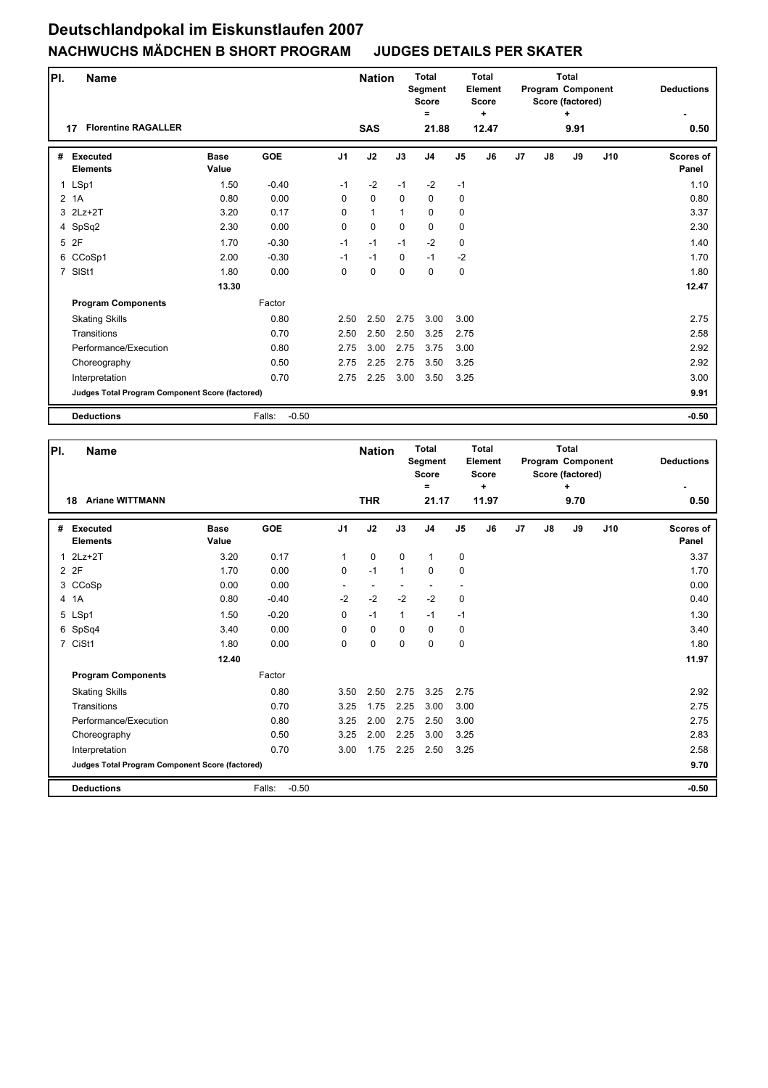| PI. | <b>Name</b>                                     |                      |                   |                | <b>Nation</b> |              | <b>Total</b><br><b>Segment</b><br><b>Score</b><br>Ξ |                | <b>Total</b><br><b>Element</b><br><b>Score</b><br>÷ |    |    | <b>Total</b><br>Program Component<br>Score (factored)<br>÷ |     | <b>Deductions</b>  |
|-----|-------------------------------------------------|----------------------|-------------------|----------------|---------------|--------------|-----------------------------------------------------|----------------|-----------------------------------------------------|----|----|------------------------------------------------------------|-----|--------------------|
|     | <b>Florentine RAGALLER</b><br>17                |                      |                   |                | <b>SAS</b>    |              | 21.88                                               |                | 12.47                                               |    |    | 9.91                                                       |     | 0.50               |
| #   | <b>Executed</b><br><b>Elements</b>              | <b>Base</b><br>Value | <b>GOE</b>        | J <sub>1</sub> | J2            | J3           | J <sub>4</sub>                                      | J <sub>5</sub> | J6                                                  | J7 | J8 | J9                                                         | J10 | Scores of<br>Panel |
|     | 1 LSp1                                          | 1.50                 | $-0.40$           | $-1$           | $-2$          | $-1$         | $-2$                                                | $-1$           |                                                     |    |    |                                                            |     | 1.10               |
|     | 2 1A                                            | 0.80                 | 0.00              | $\mathbf 0$    | $\pmb{0}$     | $\mathbf 0$  | 0                                                   | 0              |                                                     |    |    |                                                            |     | 0.80               |
|     | 3 2Lz+2T                                        | 3.20                 | 0.17              | $\Omega$       | $\mathbf{1}$  | $\mathbf{1}$ | $\mathbf 0$                                         | 0              |                                                     |    |    |                                                            |     | 3.37               |
|     | 4 SpSq2                                         | 2.30                 | 0.00              | $\Omega$       | $\mathbf 0$   | $\mathbf 0$  | $\mathbf 0$                                         | 0              |                                                     |    |    |                                                            |     | 2.30               |
|     | 5 2F                                            | 1.70                 | $-0.30$           | $-1$           | $-1$          | $-1$         | $-2$                                                | $\mathbf 0$    |                                                     |    |    |                                                            |     | 1.40               |
|     | 6 CCoSp1                                        | 2.00                 | $-0.30$           | $-1$           | $-1$          | $\Omega$     | $-1$                                                | $-2$           |                                                     |    |    |                                                            |     | 1.70               |
|     | 7 SISt1                                         | 1.80                 | 0.00              | 0              | $\mathbf 0$   | $\Omega$     | $\Omega$                                            | $\mathbf 0$    |                                                     |    |    |                                                            |     | 1.80               |
|     |                                                 | 13.30                |                   |                |               |              |                                                     |                |                                                     |    |    |                                                            |     | 12.47              |
|     | <b>Program Components</b>                       |                      | Factor            |                |               |              |                                                     |                |                                                     |    |    |                                                            |     |                    |
|     | <b>Skating Skills</b>                           |                      | 0.80              | 2.50           | 2.50          | 2.75         | 3.00                                                | 3.00           |                                                     |    |    |                                                            |     | 2.75               |
|     | Transitions                                     |                      | 0.70              | 2.50           | 2.50          | 2.50         | 3.25                                                | 2.75           |                                                     |    |    |                                                            |     | 2.58               |
|     | Performance/Execution                           |                      | 0.80              | 2.75           | 3.00          | 2.75         | 3.75                                                | 3.00           |                                                     |    |    |                                                            |     | 2.92               |
|     | Choreography                                    |                      | 0.50              | 2.75           | 2.25          | 2.75         | 3.50                                                | 3.25           |                                                     |    |    |                                                            |     | 2.92               |
|     | Interpretation                                  |                      | 0.70              | 2.75           | 2.25          | 3.00         | 3.50                                                | 3.25           |                                                     |    |    |                                                            |     | 3.00               |
|     | Judges Total Program Component Score (factored) |                      |                   |                |               |              |                                                     |                |                                                     |    |    |                                                            |     | 9.91               |
|     | <b>Deductions</b>                               |                      | $-0.50$<br>Falls: |                |               |              |                                                     |                |                                                     |    |    |                                                            |     | $-0.50$            |

| PI.          | Name                                            |                      |                   |                | <b>Nation</b> |              | <b>Total</b><br>Segment<br><b>Score</b><br>Ξ |                | <b>Total</b><br><b>Element</b><br><b>Score</b><br>÷ |                |    | <b>Total</b><br>Program Component<br>Score (factored)<br>$\ddot{}$ |     | <b>Deductions</b>         |
|--------------|-------------------------------------------------|----------------------|-------------------|----------------|---------------|--------------|----------------------------------------------|----------------|-----------------------------------------------------|----------------|----|--------------------------------------------------------------------|-----|---------------------------|
|              | <b>Ariane WITTMANN</b><br>18                    |                      |                   |                | <b>THR</b>    |              | 21.17                                        |                | 11.97                                               |                |    | 9.70                                                               |     | 0.50                      |
| #            | <b>Executed</b><br><b>Elements</b>              | <b>Base</b><br>Value | <b>GOE</b>        | J <sub>1</sub> | J2            | J3           | J <sub>4</sub>                               | J <sub>5</sub> | J6                                                  | J <sub>7</sub> | J8 | J9                                                                 | J10 | <b>Scores of</b><br>Panel |
| $\mathbf{1}$ | $2Lz+2T$                                        | 3.20                 | 0.17              | $\mathbf{1}$   | $\mathbf 0$   | $\mathbf 0$  | 1                                            | 0              |                                                     |                |    |                                                                    |     | 3.37                      |
|              | 2 2F                                            | 1.70                 | 0.00              | 0              | $-1$          | $\mathbf{1}$ | $\mathbf 0$                                  | 0              |                                                     |                |    |                                                                    |     | 1.70                      |
|              | 3 CCoSp                                         | 0.00                 | 0.00              |                | ٠             |              |                                              |                |                                                     |                |    |                                                                    |     | 0.00                      |
|              | 4 1A                                            | 0.80                 | $-0.40$           | $-2$           | $-2$          | $-2$         | $-2$                                         | $\mathbf 0$    |                                                     |                |    |                                                                    |     | 0.40                      |
|              | 5 LSp1                                          | 1.50                 | $-0.20$           | 0              | $-1$          | $\mathbf{1}$ | $-1$                                         | $-1$           |                                                     |                |    |                                                                    |     | 1.30                      |
|              | 6 SpSq4                                         | 3.40                 | 0.00              | 0              | 0             | $\mathbf 0$  | $\mathbf 0$                                  | 0              |                                                     |                |    |                                                                    |     | 3.40                      |
|              | 7 CiSt1                                         | 1.80                 | 0.00              | 0              | $\mathbf 0$   | 0            | $\Omega$                                     | $\mathbf 0$    |                                                     |                |    |                                                                    |     | 1.80                      |
|              |                                                 | 12.40                |                   |                |               |              |                                              |                |                                                     |                |    |                                                                    |     | 11.97                     |
|              | <b>Program Components</b>                       |                      | Factor            |                |               |              |                                              |                |                                                     |                |    |                                                                    |     |                           |
|              | <b>Skating Skills</b>                           |                      | 0.80              | 3.50           | 2.50          | 2.75         | 3.25                                         | 2.75           |                                                     |                |    |                                                                    |     | 2.92                      |
|              | Transitions                                     |                      | 0.70              | 3.25           | 1.75          | 2.25         | 3.00                                         | 3.00           |                                                     |                |    |                                                                    |     | 2.75                      |
|              | Performance/Execution                           |                      | 0.80              | 3.25           | 2.00          | 2.75         | 2.50                                         | 3.00           |                                                     |                |    |                                                                    |     | 2.75                      |
|              | Choreography                                    |                      | 0.50              | 3.25           | 2.00          | 2.25         | 3.00                                         | 3.25           |                                                     |                |    |                                                                    |     | 2.83                      |
|              | Interpretation                                  |                      | 0.70              | 3.00           | 1.75          | 2.25         | 2.50                                         | 3.25           |                                                     |                |    |                                                                    |     | 2.58                      |
|              | Judges Total Program Component Score (factored) |                      |                   |                |               |              |                                              |                |                                                     |                |    |                                                                    |     | 9.70                      |
|              | <b>Deductions</b>                               |                      | $-0.50$<br>Falls: |                |               |              |                                              |                |                                                     |                |    |                                                                    |     | $-0.50$                   |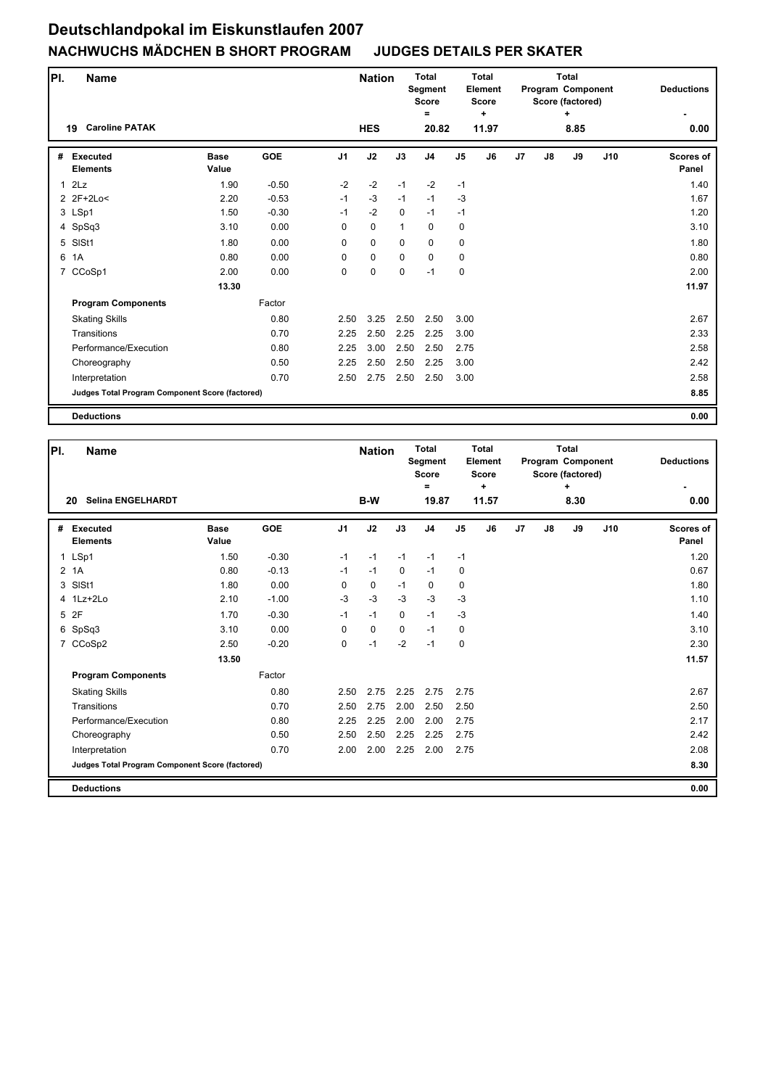| PI.          | Name                                            |                      |            |                | <b>Nation</b> |              | <b>Total</b><br>Segment<br><b>Score</b> |                | <b>Total</b><br>Element<br><b>Score</b> |                |    | <b>Total</b><br><b>Program Component</b><br>Score (factored) |     | <b>Deductions</b>  |
|--------------|-------------------------------------------------|----------------------|------------|----------------|---------------|--------------|-----------------------------------------|----------------|-----------------------------------------|----------------|----|--------------------------------------------------------------|-----|--------------------|
|              | <b>Caroline PATAK</b><br>19                     |                      |            |                | <b>HES</b>    |              | =<br>20.82                              |                | ÷<br>11.97                              |                |    | ÷<br>8.85                                                    |     | 0.00               |
| #            | <b>Executed</b><br><b>Elements</b>              | <b>Base</b><br>Value | <b>GOE</b> | J <sub>1</sub> | J2            | J3           | J <sub>4</sub>                          | J <sub>5</sub> | J6                                      | J <sub>7</sub> | J8 | J9                                                           | J10 | Scores of<br>Panel |
| $\mathbf{1}$ | 2Lz                                             | 1.90                 | $-0.50$    | $-2$           | $-2$          | $-1$         | $-2$                                    | $-1$           |                                         |                |    |                                                              |     | 1.40               |
|              | 2 2F+2Lo<                                       | 2.20                 | $-0.53$    | $-1$           | $-3$          | $-1$         | $-1$                                    | $-3$           |                                         |                |    |                                                              |     | 1.67               |
|              | 3 LSp1                                          | 1.50                 | $-0.30$    | $-1$           | $-2$          | $\mathbf 0$  | $-1$                                    | $-1$           |                                         |                |    |                                                              |     | 1.20               |
|              | 4 SpSq3                                         | 3.10                 | 0.00       | 0              | $\mathbf 0$   | $\mathbf{1}$ | $\mathbf 0$                             | 0              |                                         |                |    |                                                              |     | 3.10               |
| 5            | SISt1                                           | 1.80                 | 0.00       | 0              | $\mathbf 0$   | $\mathbf 0$  | $\mathbf 0$                             | 0              |                                         |                |    |                                                              |     | 1.80               |
| 6            | 1A                                              | 0.80                 | 0.00       | 0              | $\mathbf 0$   | $\mathbf 0$  | $\mathbf 0$                             | 0              |                                         |                |    |                                                              |     | 0.80               |
|              | 7 CCoSp1                                        | 2.00                 | 0.00       | 0              | $\pmb{0}$     | 0            | $-1$                                    | 0              |                                         |                |    |                                                              |     | 2.00               |
|              |                                                 | 13.30                |            |                |               |              |                                         |                |                                         |                |    |                                                              |     | 11.97              |
|              | <b>Program Components</b>                       |                      | Factor     |                |               |              |                                         |                |                                         |                |    |                                                              |     |                    |
|              | <b>Skating Skills</b>                           |                      | 0.80       | 2.50           | 3.25          | 2.50         | 2.50                                    | 3.00           |                                         |                |    |                                                              |     | 2.67               |
|              | Transitions                                     |                      | 0.70       | 2.25           | 2.50          | 2.25         | 2.25                                    | 3.00           |                                         |                |    |                                                              |     | 2.33               |
|              | Performance/Execution                           |                      | 0.80       | 2.25           | 3.00          | 2.50         | 2.50                                    | 2.75           |                                         |                |    |                                                              |     | 2.58               |
|              | Choreography                                    |                      | 0.50       | 2.25           | 2.50          | 2.50         | 2.25                                    | 3.00           |                                         |                |    |                                                              |     | 2.42               |
|              | Interpretation                                  |                      | 0.70       | 2.50           | 2.75          | 2.50         | 2.50                                    | 3.00           |                                         |                |    |                                                              |     | 2.58               |
|              | Judges Total Program Component Score (factored) |                      |            |                |               |              |                                         |                |                                         |                |    |                                                              |     | 8.85               |
|              | <b>Deductions</b>                               |                      |            |                |               |              |                                         |                |                                         |                |    |                                                              |     | 0.00               |

| PI. | <b>Name</b>                                     |                      |            |                | <b>Nation</b> |             | <b>Total</b><br>Segment<br><b>Score</b><br>$=$ |                | <b>Total</b><br><b>Element</b><br><b>Score</b><br>÷ |                |    | Total<br>Program Component<br>Score (factored)<br>٠ |     | <b>Deductions</b>         |
|-----|-------------------------------------------------|----------------------|------------|----------------|---------------|-------------|------------------------------------------------|----------------|-----------------------------------------------------|----------------|----|-----------------------------------------------------|-----|---------------------------|
|     | <b>Selina ENGELHARDT</b><br>20                  |                      |            |                | B-W           |             | 19.87                                          |                | 11.57                                               |                |    | 8.30                                                |     | 0.00                      |
| #   | <b>Executed</b><br><b>Elements</b>              | <b>Base</b><br>Value | <b>GOE</b> | J <sub>1</sub> | J2            | J3          | J <sub>4</sub>                                 | J <sub>5</sub> | J6                                                  | J <sub>7</sub> | J8 | J9                                                  | J10 | <b>Scores of</b><br>Panel |
|     | 1 LSp1                                          | 1.50                 | $-0.30$    | $-1$           | $-1$          | $-1$        | $-1$                                           | $-1$           |                                                     |                |    |                                                     |     | 1.20                      |
|     | 2 1A                                            | 0.80                 | $-0.13$    | $-1$           | $-1$          | $\mathbf 0$ | $-1$                                           | 0              |                                                     |                |    |                                                     |     | 0.67                      |
|     | 3 SISt1                                         | 1.80                 | 0.00       | 0              | $\mathbf 0$   | $-1$        | $\mathbf 0$                                    | $\mathbf 0$    |                                                     |                |    |                                                     |     | 1.80                      |
|     | 4 1Lz+2Lo                                       | 2.10                 | $-1.00$    | $-3$           | $-3$          | $-3$        | $-3$                                           | $-3$           |                                                     |                |    |                                                     |     | 1.10                      |
|     | 5 2F                                            | 1.70                 | $-0.30$    | $-1$           | $-1$          | $\mathbf 0$ | $-1$                                           | $-3$           |                                                     |                |    |                                                     |     | 1.40                      |
|     | 6 SpSq3                                         | 3.10                 | 0.00       | 0              | $\mathbf 0$   | $\mathbf 0$ | $-1$                                           | $\mathbf 0$    |                                                     |                |    |                                                     |     | 3.10                      |
|     | 7 CCoSp2                                        | 2.50                 | $-0.20$    | 0              | $-1$          | $-2$        | $-1$                                           | $\mathbf 0$    |                                                     |                |    |                                                     |     | 2.30                      |
|     |                                                 | 13.50                |            |                |               |             |                                                |                |                                                     |                |    |                                                     |     | 11.57                     |
|     | <b>Program Components</b>                       |                      | Factor     |                |               |             |                                                |                |                                                     |                |    |                                                     |     |                           |
|     | <b>Skating Skills</b>                           |                      | 0.80       | 2.50           | 2.75          | 2.25        | 2.75                                           | 2.75           |                                                     |                |    |                                                     |     | 2.67                      |
|     | Transitions                                     |                      | 0.70       | 2.50           | 2.75          | 2.00        | 2.50                                           | 2.50           |                                                     |                |    |                                                     |     | 2.50                      |
|     | Performance/Execution                           |                      | 0.80       | 2.25           | 2.25          | 2.00        | 2.00                                           | 2.75           |                                                     |                |    |                                                     |     | 2.17                      |
|     | Choreography                                    |                      | 0.50       | 2.50           | 2.50          | 2.25        | 2.25                                           | 2.75           |                                                     |                |    |                                                     |     | 2.42                      |
|     | Interpretation                                  |                      | 0.70       | 2.00           | 2.00          | 2.25        | 2.00                                           | 2.75           |                                                     |                |    |                                                     |     | 2.08                      |
|     | Judges Total Program Component Score (factored) |                      |            |                |               |             |                                                |                |                                                     |                |    |                                                     |     | 8.30                      |
|     | <b>Deductions</b>                               |                      |            |                |               |             |                                                |                |                                                     |                |    |                                                     |     | 0.00                      |